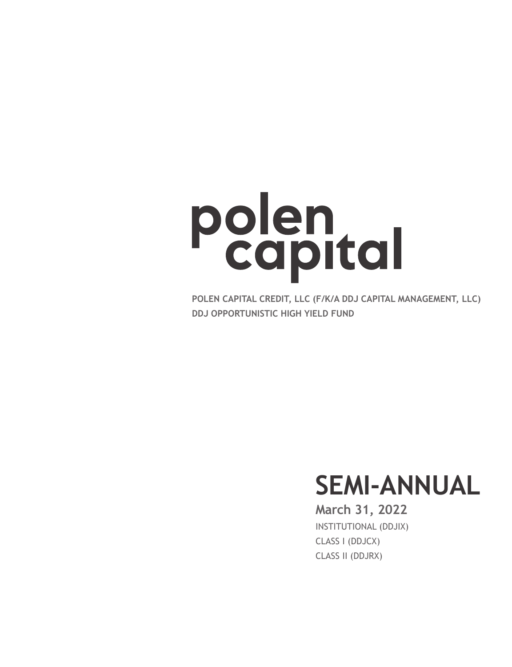# Polen

**POLEN CAPITAL CREDIT, LLC (F/K/A DDJ CAPITAL MANAGEMENT, LLC) DDJ OPPORTUNISTIC HIGH YIELD FUND**

# **SEMI-ANNUAL**

## INSTITUTIONAL (DDJIX) CLASS I (DDJCX) CLASS II (DDJRX) **March 31, 2022**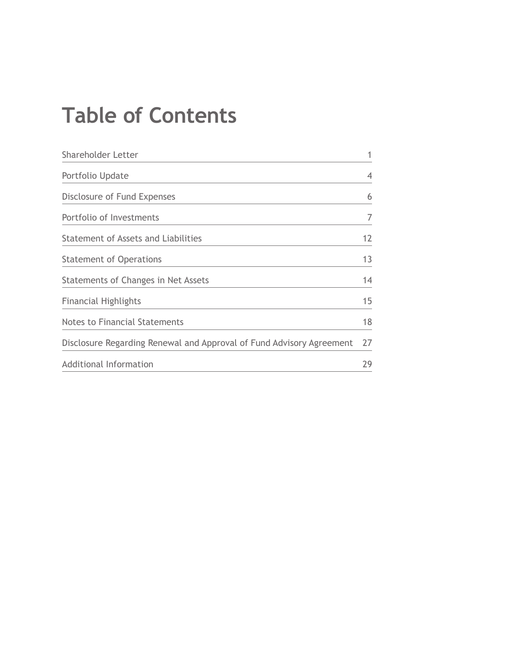# **Table of Contents**

| Shareholder Letter                                                   | 1  |
|----------------------------------------------------------------------|----|
| Portfolio Update                                                     | 4  |
| Disclosure of Fund Expenses                                          | 6  |
| Portfolio of Investments                                             | 7  |
| Statement of Assets and Liabilities                                  | 12 |
| <b>Statement of Operations</b>                                       | 13 |
| Statements of Changes in Net Assets                                  | 14 |
| <b>Financial Highlights</b>                                          | 15 |
| <b>Notes to Financial Statements</b>                                 | 18 |
| Disclosure Regarding Renewal and Approval of Fund Advisory Agreement | 27 |
| Additional Information                                               | 29 |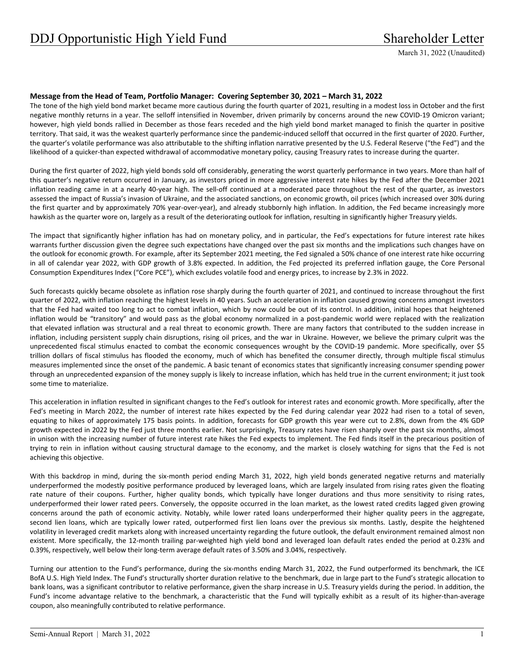#### **Message from the Head of Team, Portfolio Manager: Covering September 30, 2021 – March 31, 2022**

The tone of the high yield bond market became more cautious during the fourth quarter of 2021, resulting in a modest loss in October and the first negative monthly returns in a year. The selloff intensified in November, driven primarily by concerns around the new COVID‐19 Omicron variant; however, high yield bonds rallied in December as those fears receded and the high yield bond market managed to finish the quarter in positive territory. That said, it was the weakest quarterly performance since the pandemic‐induced selloff that occurred in the first quarter of 2020. Further, the quarter's volatile performance was also attributable to the shifting inflation narrative presented by the U.S. Federal Reserve ("the Fed") and the likelihood of a quicker‐than expected withdrawal of accommodative monetary policy, causing Treasury rates to increase during the quarter.

During the first quarter of 2022, high yield bonds sold off considerably, generating the worst quarterly performance in two years. More than half of this quarter's negative return occurred in January, as investors priced in more aggressive interest rate hikes by the Fed after the December 2021 inflation reading came in at a nearly 40‐year high. The sell‐off continued at a moderated pace throughout the rest of the quarter, as investors assessed the impact of Russia's invasion of Ukraine, and the associated sanctions, on economic growth, oil prices (which increased over 30% during the first quarter and by approximately 70% year‐over‐year), and already stubbornly high inflation. In addition, the Fed became increasingly more hawkish as the quarter wore on, largely as a result of the deteriorating outlook for inflation, resulting in significantly higher Treasury yields.

The impact that significantly higher inflation has had on monetary policy, and in particular, the Fed's expectations for future interest rate hikes warrants further discussion given the degree such expectations have changed over the past six months and the implications such changes have on the outlook for economic growth. For example, after its September 2021 meeting, the Fed signaled a 50% chance of one interest rate hike occurring in all of calendar year 2022, with GDP growth of 3.8% expected. In addition, the Fed projected its preferred inflation gauge, the Core Personal Consumption Expenditures Index ("Core PCE"), which excludes volatile food and energy prices, to increase by 2.3% in 2022.

Such forecasts quickly became obsolete as inflation rose sharply during the fourth quarter of 2021, and continued to increase throughout the first quarter of 2022, with inflation reaching the highest levels in 40 years. Such an acceleration in inflation caused growing concerns amongst investors that the Fed had waited too long to act to combat inflation, which by now could be out of its control. In addition, initial hopes that heightened inflation would be "transitory" and would pass as the global economy normalized in a post-pandemic world were replaced with the realization that elevated inflation was structural and a real threat to economic growth. There are many factors that contributed to the sudden increase in inflation, including persistent supply chain disruptions, rising oil prices, and the war in Ukraine. However, we believe the primary culprit was the unprecedented fiscal stimulus enacted to combat the economic consequences wrought by the COVID-19 pandemic. More specifically, over \$5 trillion dollars of fiscal stimulus has flooded the economy, much of which has benefited the consumer directly, through multiple fiscal stimulus measures implemented since the onset of the pandemic. A basic tenant of economics states that significantly increasing consumer spending power through an unprecedented expansion of the money supply is likely to increase inflation, which has held true in the current environment; it just took some time to materialize.

This acceleration in inflation resulted in significant changes to the Fed's outlook for interest rates and economic growth. More specifically, after the Fed's meeting in March 2022, the number of interest rate hikes expected by the Fed during calendar year 2022 had risen to a total of seven, equating to hikes of approximately 175 basis points. In addition, forecasts for GDP growth this year were cut to 2.8%, down from the 4% GDP growth expected in 2022 by the Fed just three months earlier. Not surprisingly, Treasury rates have risen sharply over the past six months, almost in unison with the increasing number of future interest rate hikes the Fed expects to implement. The Fed finds itself in the precarious position of trying to rein in inflation without causing structural damage to the economy, and the market is closely watching for signs that the Fed is not achieving this objective.

With this backdrop in mind, during the six-month period ending March 31, 2022, high yield bonds generated negative returns and materially underperformed the modestly positive performance produced by leveraged loans, which are largely insulated from rising rates given the floating rate nature of their coupons. Further, higher quality bonds, which typically have longer durations and thus more sensitivity to rising rates, underperformed their lower rated peers. Conversely, the opposite occurred in the loan market, as the lowest rated credits lagged given growing concerns around the path of economic activity. Notably, while lower rated loans underperformed their higher quality peers in the aggregate, second lien loans, which are typically lower rated, outperformed first lien loans over the previous six months. Lastly, despite the heightened volatility in leveraged credit markets along with increased uncertainty regarding the future outlook, the default environment remained almost non existent. More specifically, the 12‐month trailing par‐weighted high yield bond and leveraged loan default rates ended the period at 0.23% and 0.39%, respectively, well below their long-term average default rates of 3.50% and 3.04%, respectively.

Turning our attention to the Fund's performance, during the six-months ending March 31, 2022, the Fund outperformed its benchmark, the ICE BofA U.S. High Yield Index. The Fund's structurally shorter duration relative to the benchmark, due in large part to the Fund's strategic allocation to bank loans, was a significant contributor to relative performance, given the sharp increase in U.S. Treasury yields during the period. In addition, the Fund's income advantage relative to the benchmark, a characteristic that the Fund will typically exhibit as a result of its higher-than-average coupon, also meaningfully contributed to relative performance.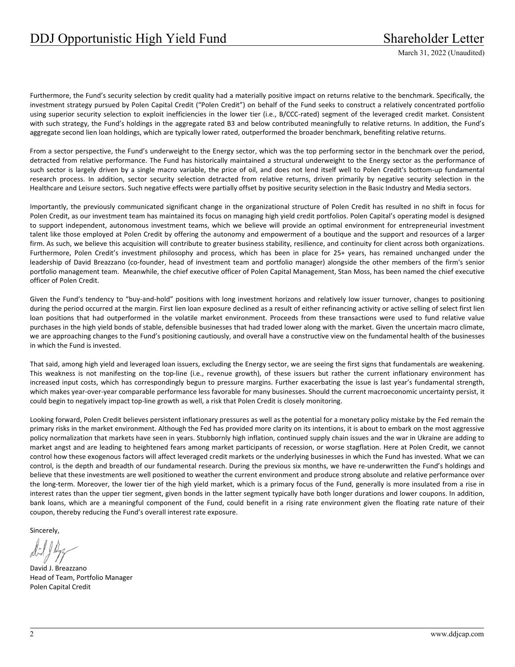Furthermore, the Fund's security selection by credit quality had a materially positive impact on returns relative to the benchmark. Specifically, the investment strategy pursued by Polen Capital Credit ("Polen Credit") on behalf of the Fund seeks to construct a relatively concentrated portfolio using superior security selection to exploit inefficiencies in the lower tier (i.e., B/CCC-rated) segment of the leveraged credit market. Consistent with such strategy, the Fund's holdings in the aggregate rated B3 and below contributed meaningfully to relative returns. In addition, the Fund's aggregate second lien loan holdings, which are typically lower rated, outperformed the broader benchmark, benefiting relative returns.

From a sector perspective, the Fund's underweight to the Energy sector, which was the top performing sector in the benchmark over the period, detracted from relative performance. The Fund has historically maintained a structural underweight to the Energy sector as the performance of such sector is largely driven by a single macro variable, the price of oil, and does not lend itself well to Polen Credit's bottom-up fundamental research process. In addition, sector security selection detracted from relative returns, driven primarily by negative security selection in the Healthcare and Leisure sectors. Such negative effects were partially offset by positive security selection in the Basic Industry and Media sectors.

Importantly, the previously communicated significant change in the organizational structure of Polen Credit has resulted in no shift in focus for Polen Credit, as our investment team has maintained its focus on managing high yield credit portfolios. Polen Capital's operating model is designed to support independent, autonomous investment teams, which we believe will provide an optimal environment for entrepreneurial investment talent like those employed at Polen Credit by offering the autonomy and empowerment of a boutique and the support and resources of a larger firm. As such, we believe this acquisition will contribute to greater business stability, resilience, and continuity for client across both organizations. Furthermore, Polen Credit's investment philosophy and process, which has been in place for 25+ years, has remained unchanged under the leadership of David Breazzano (co-founder, head of investment team and portfolio manager) alongside the other members of the firm's senior portfolio management team. Meanwhile, the chief executive officer of Polen Capital Management, Stan Moss, has been named the chief executive officer of Polen Credit.

Given the Fund's tendency to "buy-and-hold" positions with long investment horizons and relatively low issuer turnover, changes to positioning during the period occurred at the margin. First lien loan exposure declined as a result of either refinancing activity or active selling of select first lien loan positions that had outperformed in the volatile market environment. Proceeds from these transactions were used to fund relative value purchases in the high yield bonds of stable, defensible businesses that had traded lower along with the market. Given the uncertain macro climate, we are approaching changes to the Fund's positioning cautiously, and overall have a constructive view on the fundamental health of the businesses in which the Fund is invested.

That said, among high yield and leveraged loan issuers, excluding the Energy sector, we are seeing the first signs that fundamentals are weakening. This weakness is not manifesting on the top-line (i.e., revenue growth), of these issuers but rather the current inflationary environment has increased input costs, which has correspondingly begun to pressure margins. Further exacerbating the issue is last year's fundamental strength, which makes year‐over‐year comparable performance less favorable for many businesses. Should the current macroeconomic uncertainty persist, it could begin to negatively impact top-line growth as well, a risk that Polen Credit is closely monitoring.

Looking forward, Polen Credit believes persistent inflationary pressures as well as the potential for a monetary policy mistake by the Fed remain the primary risks in the market environment. Although the Fed has provided more clarity on its intentions, it is about to embark on the most aggressive policy normalization that markets have seen in years. Stubbornly high inflation, continued supply chain issues and the war in Ukraine are adding to market angst and are leading to heightened fears among market participants of recession, or worse stagflation. Here at Polen Credit, we cannot control how these exogenous factors will affect leveraged credit markets or the underlying businesses in which the Fund has invested. What we can control, is the depth and breadth of our fundamental research. During the previous six months, we have re-underwritten the Fund's holdings and believe that these investments are well positioned to weather the current environment and produce strong absolute and relative performance over the long-term. Moreover, the lower tier of the high yield market, which is a primary focus of the Fund, generally is more insulated from a rise in interest rates than the upper tier segment, given bonds in the latter segment typically have both longer durations and lower coupons. In addition, bank loans, which are a meaningful component of the Fund, could benefit in a rising rate environment given the floating rate nature of their coupon, thereby reducing the Fund's overall interest rate exposure.

Sincerely,

David J. Breazzano Head of Team, Portfolio Manager Polen Capital Credit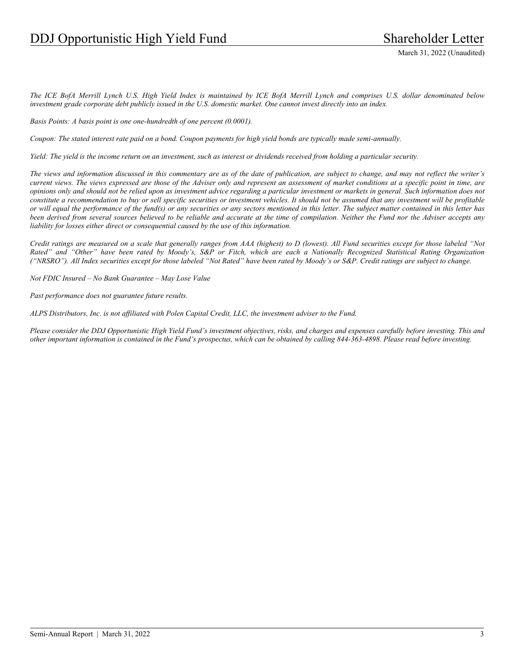*The ICE BofA Merrill Lynch U.S. High Yield Index is maintained by ICE BofA Merrill Lynch and comprises U.S. dollar denominated below investment grade corporate debt publicly issued in the U.S. domestic market. One cannot invest directly into an index.* 

*Basis Points: A basis point is one one-hundredth of one percent (0.0001).* 

*Coupon: The stated interest rate paid on a bond. Coupon payments for high yield bonds are typically made semi-annually.* 

*Yield: The yield is the income return on an investment, such as interest or dividends received from holding a particular security.* 

*The views and information discussed in this commentary are as of the date of publication, are subject to change, and may not reflect the writer's current views. The views expressed are those of the Adviser only and represent an assessment of market conditions at a specific point in time, are opinions only and should not be relied upon as investment advice regarding a particular investment or markets in general. Such information does not constitute a recommendation to buy or sell specific securities or investment vehicles. It should not be assumed that any investment will be profitable or will equal the performance of the fund(s) or any securities or any sectors mentioned in this letter. The subject matter contained in this letter has been derived from several sources believed to be reliable and accurate at the time of compilation. Neither the Fund nor the Adviser accepts any liability for losses either direct or consequential caused by the use of this information.* 

*Credit ratings are measured on a scale that generally ranges from AAA (highest) to D (lowest). All Fund securities except for those labeled "Not Rated" and "Other" have been rated by Moody's, S&P or Fitch, which are each a Nationally Recognized Statistical Rating Organization ("NRSRO"). All Index securities except for those labeled "Not Rated" have been rated by Moody's or S&P. Credit ratings are subject to change.* 

*Not FDIC Insured – No Bank Guarantee – May Lose Value* 

*Past performance does not guarantee future results.* 

*ALPS Distributors, Inc. is not affiliated with Polen Capital Credit, LLC, the investment adviser to the Fund.* 

*Please consider the DDJ Opportunistic High Yield Fund's investment objectives, risks, and charges and expenses carefully before investing. This and other important information is contained in the Fund's prospectus, which can be obtained by calling 844-363-4898. Please read before investing.*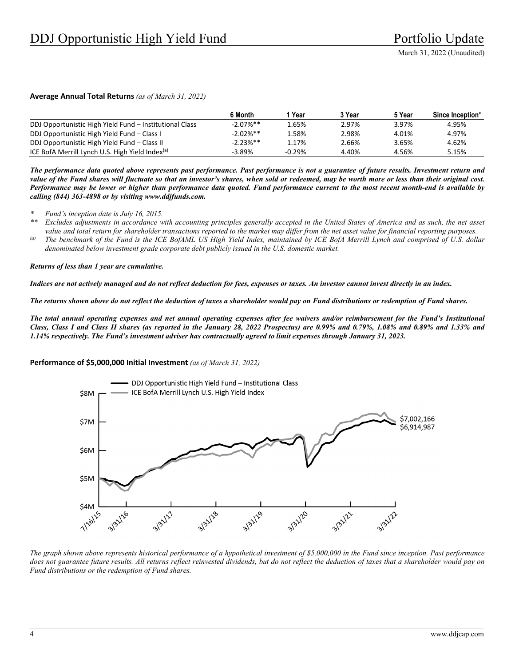#### **Average Annual Total Returns** *(as of March 31, 2022)*

|                                                             | 6 Month     | Year     | 3 Year | 5 Year | Since Inception* |
|-------------------------------------------------------------|-------------|----------|--------|--------|------------------|
| DDJ Opportunistic High Yield Fund - Institutional Class     | $-2.07%$ ** | 1.65%    | 2.97%  | 3.97%  | 4.95%            |
| DDJ Opportunistic High Yield Fund - Class I                 | $-2.02%$ ** | 1.58%    | 2.98%  | 4.01%  | 4.97%            |
| DDJ Opportunistic High Yield Fund – Class II                | $-2.23%$ ** | 1.17%    | 2.66%  | 3.65%  | 4.62%            |
| ICE BofA Merrill Lynch U.S. High Yield Index <sup>(a)</sup> | $-3.89%$    | $-0.29%$ | 4.40%  | 4.56%  | 5.15%            |

*The performance data quoted above represents past performance. Past performance is not a guarantee of future results. Investment return and value of the Fund shares will fluctuate so that an investor's shares, when sold or redeemed, may be worth more or less than their original cost. Performance may be lower or higher than performance data quoted. Fund performance current to the most recent month-end is available by calling (844) 363-4898 or by visiting www.ddjfunds.com.* 

*\* Fund's inception date is July 16, 2015.* 

- *\*\* Excludes adjustments in accordance with accounting principles generally accepted in the United States of America and as such, the net asset value and total return for shareholder transactions reported to the market may differ from the net asset value for financial reporting purposes.*
- *(a) The benchmark of the Fund is the ICE BofAML US High Yield Index, maintained by ICE BofA Merrill Lynch and comprised of U.S. dollar denominated below investment grade corporate debt publicly issued in the U.S. domestic market.*

*Returns of less than 1 year are cumulative.* 

*Indices are not actively managed and do not reflect deduction for fees, expenses or taxes. An investor cannot invest directly in an index.* 

*The returns shown above do not reflect the deduction of taxes a shareholder would pay on Fund distributions or redemption of Fund shares.* 

*The total annual operating expenses and net annual operating expenses after fee waivers and/or reimbursement for the Fund's Institutional Class, Class I and Class II shares (as reported in the January 28, 2022 Prospectus) are 0.99% and 0.79%, 1.08% and 0.89% and 1.33% and 1.14% respectively. The Fund's investment adviser has contractually agreed to limit expenses through January 31, 2023.* 

#### **Performance of \$5,000,000 Initial Investment** *(as of March 31, 2022)*



*The graph shown above represents historical performance of a hypothetical investment of \$5,000,000 in the Fund since inception. Past performance*  does not guarantee future results. All returns reflect reinvested dividends, but do not reflect the deduction of taxes that a shareholder would pay on *Fund distributions or the redemption of Fund shares.*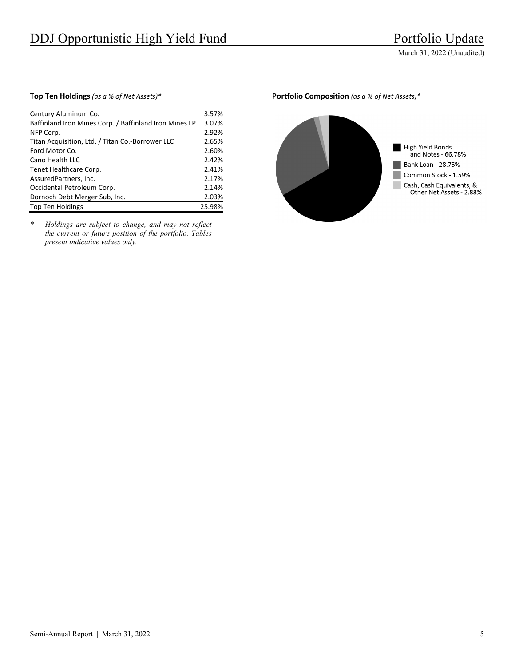| Century Aluminum Co.                                   | 3.57%  |
|--------------------------------------------------------|--------|
| Baffinland Iron Mines Corp. / Baffinland Iron Mines LP | 3.07%  |
| NFP Corp.                                              | 2.92%  |
| Titan Acquisition, Ltd. / Titan Co.-Borrower LLC       | 2.65%  |
| Ford Motor Co.                                         | 2.60%  |
| Cano Health LLC                                        | 2.42%  |
| Tenet Healthcare Corp.                                 | 2.41%  |
| AssuredPartners, Inc.                                  | 2.17%  |
| Occidental Petroleum Corp.                             | 2.14%  |
| Dornoch Debt Merger Sub, Inc.                          | 2.03%  |
| <b>Top Ten Holdings</b>                                | 25.98% |

*\* Holdings are subject to change, and may not reflect the current or future position of the portfolio. Tables present indicative values only.* 

#### **Top Ten Holdings** *(as a % of Net Assets)\** **Portfolio Composition** *(as a % of Net Assets)\**

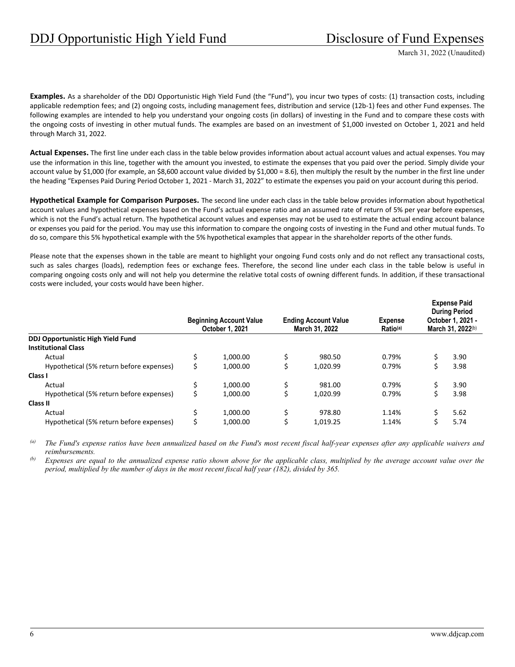**Examples.** As a shareholder of the DDJ Opportunistic High Yield Fund (the "Fund"), you incur two types of costs: (1) transaction costs, including applicable redemption fees; and (2) ongoing costs, including management fees, distribution and service (12b-1) fees and other Fund expenses. The following examples are intended to help you understand your ongoing costs (in dollars) of investing in the Fund and to compare these costs with the ongoing costs of investing in other mutual funds. The examples are based on an investment of \$1,000 invested on October 1, 2021 and held through March 31, 2022.

**Actual Expenses.** The first line under each class in the table below provides information about actual account values and actual expenses. You may use the information in this line, together with the amount you invested, to estimate the expenses that you paid over the period. Simply divide your account value by \$1,000 (for example, an \$8,600 account value divided by \$1,000 = 8.6), then multiply the result by the number in the first line under the heading "Expenses Paid During Period October 1, 2021 ‐ March 31, 2022" to estimate the expenses you paid on your account during this period.

**Hypothetical Example for Comparison Purposes.** The second line under each class in the table below provides information about hypothetical account values and hypothetical expenses based on the Fund's actual expense ratio and an assumed rate of return of 5% per year before expenses, which is not the Fund's actual return. The hypothetical account values and expenses may not be used to estimate the actual ending account balance or expenses you paid for the period. You may use this information to compare the ongoing costs of investing in the Fund and other mutual funds. To do so, compare this 5% hypothetical example with the 5% hypothetical examples that appear in the shareholder reports of the other funds.

Please note that the expenses shown in the table are meant to highlight your ongoing Fund costs only and do not reflect any transactional costs, such as sales charges (loads), redemption fees or exchange fees. Therefore, the second line under each class in the table below is useful in comparing ongoing costs only and will not help you determine the relative total costs of owning different funds. In addition, if these transactional costs were included, your costs would have been higher.

|                                          |   | <b>Beginning Account Value</b><br>October 1, 2021 |    | <b>Ending Account Value</b><br>March 31, 2022 | <b>Expense</b><br>Ratio <sup>(a)</sup> | <b>Expense Paid</b><br><b>During Period</b><br>October 1, 2021 -<br>March 31, 2022(b) |
|------------------------------------------|---|---------------------------------------------------|----|-----------------------------------------------|----------------------------------------|---------------------------------------------------------------------------------------|
| <b>DDJ Opportunistic High Yield Fund</b> |   |                                                   |    |                                               |                                        |                                                                                       |
| <b>Institutional Class</b>               |   |                                                   |    |                                               |                                        |                                                                                       |
| Actual                                   |   | 1.000.00                                          | \$ | 980.50                                        | 0.79%                                  | 3.90                                                                                  |
| Hypothetical (5% return before expenses) |   | 1.000.00                                          | \$ | 1.020.99                                      | 0.79%                                  | 3.98                                                                                  |
| Class I                                  |   |                                                   |    |                                               |                                        |                                                                                       |
| Actual                                   |   | 1.000.00                                          | \$ | 981.00                                        | 0.79%                                  | 3.90                                                                                  |
| Hypothetical (5% return before expenses) |   | 1.000.00                                          |    | 1.020.99                                      | 0.79%                                  | 3.98                                                                                  |
| Class II                                 |   |                                                   |    |                                               |                                        |                                                                                       |
| Actual                                   | Ś | 1.000.00                                          | \$ | 978.80                                        | 1.14%                                  | 5.62                                                                                  |
| Hypothetical (5% return before expenses) |   | 1.000.00                                          | Ś  | 1.019.25                                      | 1.14%                                  | 5.74                                                                                  |

*(a) The Fund's expense ratios have been annualized based on the Fund's most recent fiscal half-year expenses after any applicable waivers and reimbursements.* 

*(b) Expenses are equal to the annualized expense ratio shown above for the applicable class, multiplied by the average account value over the period, multiplied by the number of days in the most recent fiscal half year (182), divided by 365.*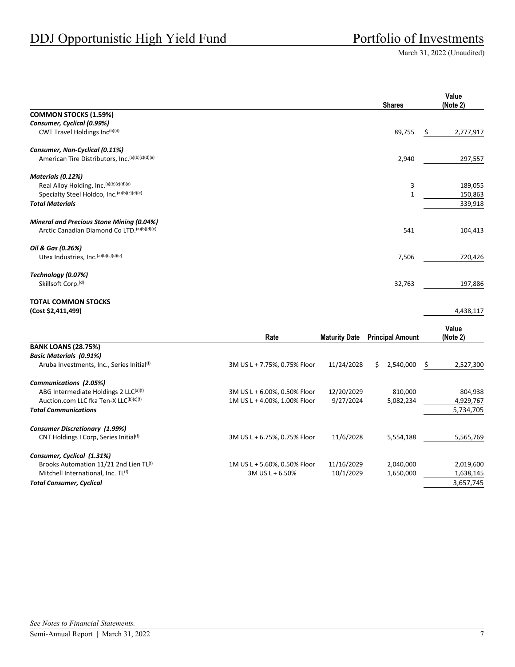|                                                                                 |                                                              |                         | <b>Shares</b>           | Value<br>(Note 2)      |
|---------------------------------------------------------------------------------|--------------------------------------------------------------|-------------------------|-------------------------|------------------------|
| <b>COMMON STOCKS (1.59%)</b>                                                    |                                                              |                         |                         |                        |
| Consumer, Cyclical (0.99%)                                                      |                                                              |                         |                         |                        |
| CWT Travel Holdings Inc(b)(d)                                                   |                                                              |                         | 89,755                  | 2,777,917<br>Ş         |
| Consumer, Non-Cyclical (0.11%)                                                  |                                                              |                         |                         |                        |
| American Tire Distributors, Inc. (a)(b)(c)(d)(e)                                |                                                              |                         | 2,940                   | 297,557                |
| Materials (0.12%)                                                               |                                                              |                         |                         |                        |
| Real Alloy Holding, Inc. (a)(b)(c)(d)(e)                                        |                                                              |                         | 3                       | 189,055                |
| Specialty Steel Holdco, Inc. (a)(b)(c)(d)(e)                                    |                                                              |                         | $\mathbf{1}$            | 150,863                |
| <b>Total Materials</b>                                                          |                                                              |                         |                         | 339,918                |
| <b>Mineral and Precious Stone Mining (0.04%)</b>                                |                                                              |                         |                         |                        |
| Arctic Canadian Diamond Co LTD. (a) (b)(d) (e)                                  |                                                              |                         | 541                     | 104,413                |
| Oil & Gas (0.26%)                                                               |                                                              |                         |                         |                        |
| Utex Industries, Inc. (a)(b)(c)(d)(e)                                           |                                                              |                         | 7,506                   | 720,426                |
| Technology (0.07%)                                                              |                                                              |                         |                         |                        |
| Skillsoft Corp. <sup>(d)</sup>                                                  |                                                              |                         | 32,763                  | 197,886                |
| <b>TOTAL COMMON STOCKS</b>                                                      |                                                              |                         |                         |                        |
| (Cost \$2,411,499)                                                              |                                                              |                         |                         | 4,438,117              |
|                                                                                 |                                                              |                         |                         | Value                  |
|                                                                                 | Rate                                                         | <b>Maturity Date</b>    | <b>Principal Amount</b> | (Note 2)               |
| <b>BANK LOANS (28.75%)</b>                                                      |                                                              |                         |                         |                        |
| <b>Basic Materials (0.91%)</b><br>Aruba Investments, Inc., Series Initial(f)    | 3M US L + 7.75%, 0.75% Floor                                 | 11/24/2028              | \$.<br>2,540,000        | -\$<br>2,527,300       |
|                                                                                 |                                                              |                         |                         |                        |
| Communications (2.05%)                                                          |                                                              |                         |                         |                        |
| ABG Intermediate Holdings 2 LLC(a)(f)<br>Auction.com LLC fka Ten-X LLC(b)(c)(f) | 3M US L + 6.00%, 0.50% Floor<br>1M US L + 4.00%, 1.00% Floor | 12/20/2029<br>9/27/2024 | 810,000<br>5,082,234    | 804,938                |
| <b>Total Communications</b>                                                     |                                                              |                         |                         | 4,929,767<br>5,734,705 |
|                                                                                 |                                                              |                         |                         |                        |
| <b>Consumer Discretionary (1.99%)</b>                                           |                                                              |                         |                         |                        |
| CNT Holdings I Corp, Series Initial(f)                                          | 3M US L + 6.75%, 0.75% Floor                                 | 11/6/2028               | 5,554,188               | 5,565,769              |
| Consumer, Cyclical (1.31%)                                                      |                                                              |                         |                         |                        |
| Brooks Automation 11/21 2nd Lien TL(f)                                          | 1M US L + 5.60%, 0.50% Floor                                 | 11/16/2029              | 2,040,000               | 2,019,600              |
| Mitchell International, Inc. TL <sup>(f)</sup>                                  | 3M US L + 6.50%                                              | 10/1/2029               | 1,650,000               | 1,638,145              |
| <b>Total Consumer, Cyclical</b>                                                 |                                                              |                         |                         | 3,657,745              |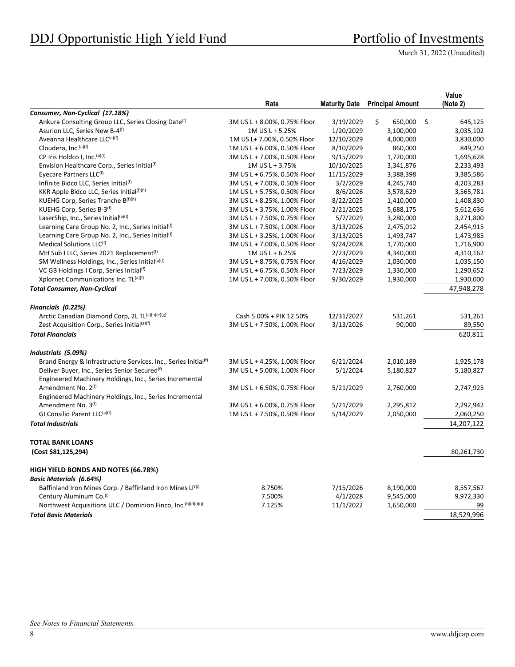# DDJ Opportunistic High Yield Fund<br>
Portfolio of Investments

March 31, 2022 (Unaudited)

| Consumer, Non-Cyclical (17.18%)<br>Ankura Consulting Group LLC, Series Closing Date <sup>(f)</sup><br>3M US L + 8.00%, 0.75% Floor<br>3/19/2029<br>\$<br>650,000<br>\$<br>645,125<br>Asurion LLC, Series New B-4 <sup>(f)</sup><br>1/20/2029<br>1M US L + 5.25%<br>3,100,000<br>3,035,102<br>Aveanna Healthcare LLC(a)(f)<br>1M US L+ 7.00%, 0.50% Floor<br>12/10/2029<br>4,000,000<br>3,830,000<br>Cloudera, Inc. (a)(f)<br>1M US L + 6.00%, 0.50% Floor<br>8/10/2029<br>860,000<br>849,250<br>CP Iris Holdco I, Inc. (b)(f)<br>9/15/2029<br>1,695,628<br>3M US L + 7.00%, 0.50% Floor<br>1,720,000<br>Envision Healthcare Corp., Series Initial <sup>(f)</sup><br>1M US L + 3.75%<br>10/10/2025<br>3,341,876<br>2,233,493<br>Eyecare Partners LLC <sup>(f)</sup><br>3M US L + 6.75%, 0.50% Floor<br>11/15/2029<br>3,385,586<br>3,388,398<br>Infinite Bidco LLC, Series Initial(f)<br>3/2/2029<br>3M US L + 7.00%, 0.50% Floor<br>4,245,740<br>4,203,283<br>KKR Apple Bidco LLC, Series Initial(f)(h)<br>1M US L + 5.75%, 0.50% Floor<br>8/6/2026<br>3,565,781<br>3,578,629<br>KUEHG Corp, Series Tranche B(f)(h)<br>8/22/2025<br>3M US L + 8.25%, 1.00% Floor<br>1,410,000<br>1,408,830<br>KUEHG Corp, Series B-3(f)<br>2/21/2025<br>3M US L + 3.75%, 1.00% Floor<br>5,688,175<br>5,612,636<br>LaserShip, Inc., Series Initial(a)(f)<br>3M US L + 7.50%, 0.75% Floor<br>5/7/2029<br>3,280,000<br>3,271,800<br>Learning Care Group No. 2, Inc., Series Initial <sup>(f)</sup><br>3/13/2026<br>3M US L + 7.50%, 1.00% Floor<br>2,475,012<br>2,454,915<br>Learning Care Group No. 2, Inc., Series Initial(f)<br>3/13/2025<br>3M US L + 3.25%, 1.00% Floor<br>1,493,747<br>1,473,985<br>Medical Solutions LLC <sup>(f)</sup><br>3M US L + 7.00%, 0.50% Floor<br>9/24/2028<br>1,716,900<br>1,770,000<br>MH Sub I LLC, Series 2021 Replacement <sup>(f)</sup><br>1M US L + 6.25%<br>2/23/2029<br>4,310,162<br>4,340,000<br>SM Wellness Holdings, Inc., Series Initial(a)(f)<br>4/16/2029<br>3M US L + 8.75%, 0.75% Floor<br>1,035,150<br>1,030,000<br>VC GB Holdings I Corp, Series Initial <sup>(f)</sup><br>3M US L + 6.75%, 0.50% Floor<br>7/23/2029<br>1,290,652<br>1,330,000<br>Xplornet Communications Inc. TL(a)(f)<br>9/30/2029<br>1M US L + 7.00%, 0.50% Floor<br>1,930,000<br>1,930,000<br>47,948,278<br><b>Total Consumer, Non-Cyclical</b><br>Financials (0.22%)<br>Arctic Canadian Diamond Corp, 2L TL(a)(b)(e)(g)<br>12/31/2027<br>Cash 5.00% + PIK 12.50%<br>531,261<br>531,261<br>Zest Acquisition Corp., Series Initial <sup>(a)(f)</sup><br>3M US L + 7.50%, 1.00% Floor<br>3/13/2026<br>90,000<br>89,550<br><b>Total Financials</b><br>620,811<br>Industrials (5.09%)<br>Brand Energy & Infrastructure Services, Inc., Series Initial(f)<br>6/21/2024<br>3M US L + 4.25%, 1.00% Floor<br>2,010,189<br>1,925,178<br>Deliver Buyer, Inc., Series Senior Secured <sup>(f)</sup><br>3M US L + 5.00%, 1.00% Floor<br>5/1/2024<br>5,180,827<br>5,180,827<br>Engineered Machinery Holdings, Inc., Series Incremental<br>Amendment No. 2 <sup>(f)</sup><br>3M US L + 6.50%, 0.75% Floor<br>5/21/2029<br>2,760,000<br>2,747,925<br>Engineered Machinery Holdings, Inc., Series Incremental<br>Amendment No. 3 <sup>(f)</sup><br>3M US L + 6.00%, 0.75% Floor<br>5/21/2029<br>2,295,812<br>2,292,942<br>GI Consilio Parent LLC(a)(f)<br>1M US L + 7.50%, 0.50% Floor<br>5/14/2029<br>2,060,250<br>2,050,000<br><b>Total Industrials</b><br>14,207,122<br><b>TOTAL BANK LOANS</b><br>(Cost \$81,125,294)<br>80,261,730<br>HIGH YIELD BONDS AND NOTES (66.78%)<br><b>Basic Materials (6.64%)</b><br>Baffinland Iron Mines Corp. / Baffinland Iron Mines LP(i)<br>7/15/2026<br>8.750%<br>8,190,000<br>8,557,567<br>Century Aluminum Co.(i)<br>4/1/2028<br>7.500%<br>9,545,000<br>9,972,330<br>Northwest Acquisitions ULC / Dominion Finco, Inc. (b)(d)(i)(j)<br>7.125%<br>11/1/2022<br>1,650,000<br>99<br>18,529,996<br><b>Total Basic Materials</b> | Rate | <b>Maturity Date</b> | <b>Principal Amount</b> | Value<br>(Note 2) |
|--------------------------------------------------------------------------------------------------------------------------------------------------------------------------------------------------------------------------------------------------------------------------------------------------------------------------------------------------------------------------------------------------------------------------------------------------------------------------------------------------------------------------------------------------------------------------------------------------------------------------------------------------------------------------------------------------------------------------------------------------------------------------------------------------------------------------------------------------------------------------------------------------------------------------------------------------------------------------------------------------------------------------------------------------------------------------------------------------------------------------------------------------------------------------------------------------------------------------------------------------------------------------------------------------------------------------------------------------------------------------------------------------------------------------------------------------------------------------------------------------------------------------------------------------------------------------------------------------------------------------------------------------------------------------------------------------------------------------------------------------------------------------------------------------------------------------------------------------------------------------------------------------------------------------------------------------------------------------------------------------------------------------------------------------------------------------------------------------------------------------------------------------------------------------------------------------------------------------------------------------------------------------------------------------------------------------------------------------------------------------------------------------------------------------------------------------------------------------------------------------------------------------------------------------------------------------------------------------------------------------------------------------------------------------------------------------------------------------------------------------------------------------------------------------------------------------------------------------------------------------------------------------------------------------------------------------------------------------------------------------------------------------------------------------------------------------------------------------------------------------------------------------------------------------------------------------------------------------------------------------------------------------------------------------------------------------------------------------------------------------------------------------------------------------------------------------------------------------------------------------------------------------------------------------------------------------------------------------------------------------------------------------------------------------------------------------------------------------------------------------------------------------------------------------------------------------------------------------------------------------------------------------------------------------------------------------------|------|----------------------|-------------------------|-------------------|
|                                                                                                                                                                                                                                                                                                                                                                                                                                                                                                                                                                                                                                                                                                                                                                                                                                                                                                                                                                                                                                                                                                                                                                                                                                                                                                                                                                                                                                                                                                                                                                                                                                                                                                                                                                                                                                                                                                                                                                                                                                                                                                                                                                                                                                                                                                                                                                                                                                                                                                                                                                                                                                                                                                                                                                                                                                                                                                                                                                                                                                                                                                                                                                                                                                                                                                                                                                                                                                                                                                                                                                                                                                                                                                                                                                                                                                                                                                                                                        |      |                      |                         |                   |
|                                                                                                                                                                                                                                                                                                                                                                                                                                                                                                                                                                                                                                                                                                                                                                                                                                                                                                                                                                                                                                                                                                                                                                                                                                                                                                                                                                                                                                                                                                                                                                                                                                                                                                                                                                                                                                                                                                                                                                                                                                                                                                                                                                                                                                                                                                                                                                                                                                                                                                                                                                                                                                                                                                                                                                                                                                                                                                                                                                                                                                                                                                                                                                                                                                                                                                                                                                                                                                                                                                                                                                                                                                                                                                                                                                                                                                                                                                                                                        |      |                      |                         |                   |
|                                                                                                                                                                                                                                                                                                                                                                                                                                                                                                                                                                                                                                                                                                                                                                                                                                                                                                                                                                                                                                                                                                                                                                                                                                                                                                                                                                                                                                                                                                                                                                                                                                                                                                                                                                                                                                                                                                                                                                                                                                                                                                                                                                                                                                                                                                                                                                                                                                                                                                                                                                                                                                                                                                                                                                                                                                                                                                                                                                                                                                                                                                                                                                                                                                                                                                                                                                                                                                                                                                                                                                                                                                                                                                                                                                                                                                                                                                                                                        |      |                      |                         |                   |
|                                                                                                                                                                                                                                                                                                                                                                                                                                                                                                                                                                                                                                                                                                                                                                                                                                                                                                                                                                                                                                                                                                                                                                                                                                                                                                                                                                                                                                                                                                                                                                                                                                                                                                                                                                                                                                                                                                                                                                                                                                                                                                                                                                                                                                                                                                                                                                                                                                                                                                                                                                                                                                                                                                                                                                                                                                                                                                                                                                                                                                                                                                                                                                                                                                                                                                                                                                                                                                                                                                                                                                                                                                                                                                                                                                                                                                                                                                                                                        |      |                      |                         |                   |
|                                                                                                                                                                                                                                                                                                                                                                                                                                                                                                                                                                                                                                                                                                                                                                                                                                                                                                                                                                                                                                                                                                                                                                                                                                                                                                                                                                                                                                                                                                                                                                                                                                                                                                                                                                                                                                                                                                                                                                                                                                                                                                                                                                                                                                                                                                                                                                                                                                                                                                                                                                                                                                                                                                                                                                                                                                                                                                                                                                                                                                                                                                                                                                                                                                                                                                                                                                                                                                                                                                                                                                                                                                                                                                                                                                                                                                                                                                                                                        |      |                      |                         |                   |
|                                                                                                                                                                                                                                                                                                                                                                                                                                                                                                                                                                                                                                                                                                                                                                                                                                                                                                                                                                                                                                                                                                                                                                                                                                                                                                                                                                                                                                                                                                                                                                                                                                                                                                                                                                                                                                                                                                                                                                                                                                                                                                                                                                                                                                                                                                                                                                                                                                                                                                                                                                                                                                                                                                                                                                                                                                                                                                                                                                                                                                                                                                                                                                                                                                                                                                                                                                                                                                                                                                                                                                                                                                                                                                                                                                                                                                                                                                                                                        |      |                      |                         |                   |
|                                                                                                                                                                                                                                                                                                                                                                                                                                                                                                                                                                                                                                                                                                                                                                                                                                                                                                                                                                                                                                                                                                                                                                                                                                                                                                                                                                                                                                                                                                                                                                                                                                                                                                                                                                                                                                                                                                                                                                                                                                                                                                                                                                                                                                                                                                                                                                                                                                                                                                                                                                                                                                                                                                                                                                                                                                                                                                                                                                                                                                                                                                                                                                                                                                                                                                                                                                                                                                                                                                                                                                                                                                                                                                                                                                                                                                                                                                                                                        |      |                      |                         |                   |
|                                                                                                                                                                                                                                                                                                                                                                                                                                                                                                                                                                                                                                                                                                                                                                                                                                                                                                                                                                                                                                                                                                                                                                                                                                                                                                                                                                                                                                                                                                                                                                                                                                                                                                                                                                                                                                                                                                                                                                                                                                                                                                                                                                                                                                                                                                                                                                                                                                                                                                                                                                                                                                                                                                                                                                                                                                                                                                                                                                                                                                                                                                                                                                                                                                                                                                                                                                                                                                                                                                                                                                                                                                                                                                                                                                                                                                                                                                                                                        |      |                      |                         |                   |
|                                                                                                                                                                                                                                                                                                                                                                                                                                                                                                                                                                                                                                                                                                                                                                                                                                                                                                                                                                                                                                                                                                                                                                                                                                                                                                                                                                                                                                                                                                                                                                                                                                                                                                                                                                                                                                                                                                                                                                                                                                                                                                                                                                                                                                                                                                                                                                                                                                                                                                                                                                                                                                                                                                                                                                                                                                                                                                                                                                                                                                                                                                                                                                                                                                                                                                                                                                                                                                                                                                                                                                                                                                                                                                                                                                                                                                                                                                                                                        |      |                      |                         |                   |
|                                                                                                                                                                                                                                                                                                                                                                                                                                                                                                                                                                                                                                                                                                                                                                                                                                                                                                                                                                                                                                                                                                                                                                                                                                                                                                                                                                                                                                                                                                                                                                                                                                                                                                                                                                                                                                                                                                                                                                                                                                                                                                                                                                                                                                                                                                                                                                                                                                                                                                                                                                                                                                                                                                                                                                                                                                                                                                                                                                                                                                                                                                                                                                                                                                                                                                                                                                                                                                                                                                                                                                                                                                                                                                                                                                                                                                                                                                                                                        |      |                      |                         |                   |
|                                                                                                                                                                                                                                                                                                                                                                                                                                                                                                                                                                                                                                                                                                                                                                                                                                                                                                                                                                                                                                                                                                                                                                                                                                                                                                                                                                                                                                                                                                                                                                                                                                                                                                                                                                                                                                                                                                                                                                                                                                                                                                                                                                                                                                                                                                                                                                                                                                                                                                                                                                                                                                                                                                                                                                                                                                                                                                                                                                                                                                                                                                                                                                                                                                                                                                                                                                                                                                                                                                                                                                                                                                                                                                                                                                                                                                                                                                                                                        |      |                      |                         |                   |
|                                                                                                                                                                                                                                                                                                                                                                                                                                                                                                                                                                                                                                                                                                                                                                                                                                                                                                                                                                                                                                                                                                                                                                                                                                                                                                                                                                                                                                                                                                                                                                                                                                                                                                                                                                                                                                                                                                                                                                                                                                                                                                                                                                                                                                                                                                                                                                                                                                                                                                                                                                                                                                                                                                                                                                                                                                                                                                                                                                                                                                                                                                                                                                                                                                                                                                                                                                                                                                                                                                                                                                                                                                                                                                                                                                                                                                                                                                                                                        |      |                      |                         |                   |
|                                                                                                                                                                                                                                                                                                                                                                                                                                                                                                                                                                                                                                                                                                                                                                                                                                                                                                                                                                                                                                                                                                                                                                                                                                                                                                                                                                                                                                                                                                                                                                                                                                                                                                                                                                                                                                                                                                                                                                                                                                                                                                                                                                                                                                                                                                                                                                                                                                                                                                                                                                                                                                                                                                                                                                                                                                                                                                                                                                                                                                                                                                                                                                                                                                                                                                                                                                                                                                                                                                                                                                                                                                                                                                                                                                                                                                                                                                                                                        |      |                      |                         |                   |
|                                                                                                                                                                                                                                                                                                                                                                                                                                                                                                                                                                                                                                                                                                                                                                                                                                                                                                                                                                                                                                                                                                                                                                                                                                                                                                                                                                                                                                                                                                                                                                                                                                                                                                                                                                                                                                                                                                                                                                                                                                                                                                                                                                                                                                                                                                                                                                                                                                                                                                                                                                                                                                                                                                                                                                                                                                                                                                                                                                                                                                                                                                                                                                                                                                                                                                                                                                                                                                                                                                                                                                                                                                                                                                                                                                                                                                                                                                                                                        |      |                      |                         |                   |
|                                                                                                                                                                                                                                                                                                                                                                                                                                                                                                                                                                                                                                                                                                                                                                                                                                                                                                                                                                                                                                                                                                                                                                                                                                                                                                                                                                                                                                                                                                                                                                                                                                                                                                                                                                                                                                                                                                                                                                                                                                                                                                                                                                                                                                                                                                                                                                                                                                                                                                                                                                                                                                                                                                                                                                                                                                                                                                                                                                                                                                                                                                                                                                                                                                                                                                                                                                                                                                                                                                                                                                                                                                                                                                                                                                                                                                                                                                                                                        |      |                      |                         |                   |
|                                                                                                                                                                                                                                                                                                                                                                                                                                                                                                                                                                                                                                                                                                                                                                                                                                                                                                                                                                                                                                                                                                                                                                                                                                                                                                                                                                                                                                                                                                                                                                                                                                                                                                                                                                                                                                                                                                                                                                                                                                                                                                                                                                                                                                                                                                                                                                                                                                                                                                                                                                                                                                                                                                                                                                                                                                                                                                                                                                                                                                                                                                                                                                                                                                                                                                                                                                                                                                                                                                                                                                                                                                                                                                                                                                                                                                                                                                                                                        |      |                      |                         |                   |
|                                                                                                                                                                                                                                                                                                                                                                                                                                                                                                                                                                                                                                                                                                                                                                                                                                                                                                                                                                                                                                                                                                                                                                                                                                                                                                                                                                                                                                                                                                                                                                                                                                                                                                                                                                                                                                                                                                                                                                                                                                                                                                                                                                                                                                                                                                                                                                                                                                                                                                                                                                                                                                                                                                                                                                                                                                                                                                                                                                                                                                                                                                                                                                                                                                                                                                                                                                                                                                                                                                                                                                                                                                                                                                                                                                                                                                                                                                                                                        |      |                      |                         |                   |
|                                                                                                                                                                                                                                                                                                                                                                                                                                                                                                                                                                                                                                                                                                                                                                                                                                                                                                                                                                                                                                                                                                                                                                                                                                                                                                                                                                                                                                                                                                                                                                                                                                                                                                                                                                                                                                                                                                                                                                                                                                                                                                                                                                                                                                                                                                                                                                                                                                                                                                                                                                                                                                                                                                                                                                                                                                                                                                                                                                                                                                                                                                                                                                                                                                                                                                                                                                                                                                                                                                                                                                                                                                                                                                                                                                                                                                                                                                                                                        |      |                      |                         |                   |
|                                                                                                                                                                                                                                                                                                                                                                                                                                                                                                                                                                                                                                                                                                                                                                                                                                                                                                                                                                                                                                                                                                                                                                                                                                                                                                                                                                                                                                                                                                                                                                                                                                                                                                                                                                                                                                                                                                                                                                                                                                                                                                                                                                                                                                                                                                                                                                                                                                                                                                                                                                                                                                                                                                                                                                                                                                                                                                                                                                                                                                                                                                                                                                                                                                                                                                                                                                                                                                                                                                                                                                                                                                                                                                                                                                                                                                                                                                                                                        |      |                      |                         |                   |
|                                                                                                                                                                                                                                                                                                                                                                                                                                                                                                                                                                                                                                                                                                                                                                                                                                                                                                                                                                                                                                                                                                                                                                                                                                                                                                                                                                                                                                                                                                                                                                                                                                                                                                                                                                                                                                                                                                                                                                                                                                                                                                                                                                                                                                                                                                                                                                                                                                                                                                                                                                                                                                                                                                                                                                                                                                                                                                                                                                                                                                                                                                                                                                                                                                                                                                                                                                                                                                                                                                                                                                                                                                                                                                                                                                                                                                                                                                                                                        |      |                      |                         |                   |
|                                                                                                                                                                                                                                                                                                                                                                                                                                                                                                                                                                                                                                                                                                                                                                                                                                                                                                                                                                                                                                                                                                                                                                                                                                                                                                                                                                                                                                                                                                                                                                                                                                                                                                                                                                                                                                                                                                                                                                                                                                                                                                                                                                                                                                                                                                                                                                                                                                                                                                                                                                                                                                                                                                                                                                                                                                                                                                                                                                                                                                                                                                                                                                                                                                                                                                                                                                                                                                                                                                                                                                                                                                                                                                                                                                                                                                                                                                                                                        |      |                      |                         |                   |
|                                                                                                                                                                                                                                                                                                                                                                                                                                                                                                                                                                                                                                                                                                                                                                                                                                                                                                                                                                                                                                                                                                                                                                                                                                                                                                                                                                                                                                                                                                                                                                                                                                                                                                                                                                                                                                                                                                                                                                                                                                                                                                                                                                                                                                                                                                                                                                                                                                                                                                                                                                                                                                                                                                                                                                                                                                                                                                                                                                                                                                                                                                                                                                                                                                                                                                                                                                                                                                                                                                                                                                                                                                                                                                                                                                                                                                                                                                                                                        |      |                      |                         |                   |
|                                                                                                                                                                                                                                                                                                                                                                                                                                                                                                                                                                                                                                                                                                                                                                                                                                                                                                                                                                                                                                                                                                                                                                                                                                                                                                                                                                                                                                                                                                                                                                                                                                                                                                                                                                                                                                                                                                                                                                                                                                                                                                                                                                                                                                                                                                                                                                                                                                                                                                                                                                                                                                                                                                                                                                                                                                                                                                                                                                                                                                                                                                                                                                                                                                                                                                                                                                                                                                                                                                                                                                                                                                                                                                                                                                                                                                                                                                                                                        |      |                      |                         |                   |
|                                                                                                                                                                                                                                                                                                                                                                                                                                                                                                                                                                                                                                                                                                                                                                                                                                                                                                                                                                                                                                                                                                                                                                                                                                                                                                                                                                                                                                                                                                                                                                                                                                                                                                                                                                                                                                                                                                                                                                                                                                                                                                                                                                                                                                                                                                                                                                                                                                                                                                                                                                                                                                                                                                                                                                                                                                                                                                                                                                                                                                                                                                                                                                                                                                                                                                                                                                                                                                                                                                                                                                                                                                                                                                                                                                                                                                                                                                                                                        |      |                      |                         |                   |
|                                                                                                                                                                                                                                                                                                                                                                                                                                                                                                                                                                                                                                                                                                                                                                                                                                                                                                                                                                                                                                                                                                                                                                                                                                                                                                                                                                                                                                                                                                                                                                                                                                                                                                                                                                                                                                                                                                                                                                                                                                                                                                                                                                                                                                                                                                                                                                                                                                                                                                                                                                                                                                                                                                                                                                                                                                                                                                                                                                                                                                                                                                                                                                                                                                                                                                                                                                                                                                                                                                                                                                                                                                                                                                                                                                                                                                                                                                                                                        |      |                      |                         |                   |
|                                                                                                                                                                                                                                                                                                                                                                                                                                                                                                                                                                                                                                                                                                                                                                                                                                                                                                                                                                                                                                                                                                                                                                                                                                                                                                                                                                                                                                                                                                                                                                                                                                                                                                                                                                                                                                                                                                                                                                                                                                                                                                                                                                                                                                                                                                                                                                                                                                                                                                                                                                                                                                                                                                                                                                                                                                                                                                                                                                                                                                                                                                                                                                                                                                                                                                                                                                                                                                                                                                                                                                                                                                                                                                                                                                                                                                                                                                                                                        |      |                      |                         |                   |
|                                                                                                                                                                                                                                                                                                                                                                                                                                                                                                                                                                                                                                                                                                                                                                                                                                                                                                                                                                                                                                                                                                                                                                                                                                                                                                                                                                                                                                                                                                                                                                                                                                                                                                                                                                                                                                                                                                                                                                                                                                                                                                                                                                                                                                                                                                                                                                                                                                                                                                                                                                                                                                                                                                                                                                                                                                                                                                                                                                                                                                                                                                                                                                                                                                                                                                                                                                                                                                                                                                                                                                                                                                                                                                                                                                                                                                                                                                                                                        |      |                      |                         |                   |
|                                                                                                                                                                                                                                                                                                                                                                                                                                                                                                                                                                                                                                                                                                                                                                                                                                                                                                                                                                                                                                                                                                                                                                                                                                                                                                                                                                                                                                                                                                                                                                                                                                                                                                                                                                                                                                                                                                                                                                                                                                                                                                                                                                                                                                                                                                                                                                                                                                                                                                                                                                                                                                                                                                                                                                                                                                                                                                                                                                                                                                                                                                                                                                                                                                                                                                                                                                                                                                                                                                                                                                                                                                                                                                                                                                                                                                                                                                                                                        |      |                      |                         |                   |
|                                                                                                                                                                                                                                                                                                                                                                                                                                                                                                                                                                                                                                                                                                                                                                                                                                                                                                                                                                                                                                                                                                                                                                                                                                                                                                                                                                                                                                                                                                                                                                                                                                                                                                                                                                                                                                                                                                                                                                                                                                                                                                                                                                                                                                                                                                                                                                                                                                                                                                                                                                                                                                                                                                                                                                                                                                                                                                                                                                                                                                                                                                                                                                                                                                                                                                                                                                                                                                                                                                                                                                                                                                                                                                                                                                                                                                                                                                                                                        |      |                      |                         |                   |
|                                                                                                                                                                                                                                                                                                                                                                                                                                                                                                                                                                                                                                                                                                                                                                                                                                                                                                                                                                                                                                                                                                                                                                                                                                                                                                                                                                                                                                                                                                                                                                                                                                                                                                                                                                                                                                                                                                                                                                                                                                                                                                                                                                                                                                                                                                                                                                                                                                                                                                                                                                                                                                                                                                                                                                                                                                                                                                                                                                                                                                                                                                                                                                                                                                                                                                                                                                                                                                                                                                                                                                                                                                                                                                                                                                                                                                                                                                                                                        |      |                      |                         |                   |
|                                                                                                                                                                                                                                                                                                                                                                                                                                                                                                                                                                                                                                                                                                                                                                                                                                                                                                                                                                                                                                                                                                                                                                                                                                                                                                                                                                                                                                                                                                                                                                                                                                                                                                                                                                                                                                                                                                                                                                                                                                                                                                                                                                                                                                                                                                                                                                                                                                                                                                                                                                                                                                                                                                                                                                                                                                                                                                                                                                                                                                                                                                                                                                                                                                                                                                                                                                                                                                                                                                                                                                                                                                                                                                                                                                                                                                                                                                                                                        |      |                      |                         |                   |
|                                                                                                                                                                                                                                                                                                                                                                                                                                                                                                                                                                                                                                                                                                                                                                                                                                                                                                                                                                                                                                                                                                                                                                                                                                                                                                                                                                                                                                                                                                                                                                                                                                                                                                                                                                                                                                                                                                                                                                                                                                                                                                                                                                                                                                                                                                                                                                                                                                                                                                                                                                                                                                                                                                                                                                                                                                                                                                                                                                                                                                                                                                                                                                                                                                                                                                                                                                                                                                                                                                                                                                                                                                                                                                                                                                                                                                                                                                                                                        |      |                      |                         |                   |
|                                                                                                                                                                                                                                                                                                                                                                                                                                                                                                                                                                                                                                                                                                                                                                                                                                                                                                                                                                                                                                                                                                                                                                                                                                                                                                                                                                                                                                                                                                                                                                                                                                                                                                                                                                                                                                                                                                                                                                                                                                                                                                                                                                                                                                                                                                                                                                                                                                                                                                                                                                                                                                                                                                                                                                                                                                                                                                                                                                                                                                                                                                                                                                                                                                                                                                                                                                                                                                                                                                                                                                                                                                                                                                                                                                                                                                                                                                                                                        |      |                      |                         |                   |
|                                                                                                                                                                                                                                                                                                                                                                                                                                                                                                                                                                                                                                                                                                                                                                                                                                                                                                                                                                                                                                                                                                                                                                                                                                                                                                                                                                                                                                                                                                                                                                                                                                                                                                                                                                                                                                                                                                                                                                                                                                                                                                                                                                                                                                                                                                                                                                                                                                                                                                                                                                                                                                                                                                                                                                                                                                                                                                                                                                                                                                                                                                                                                                                                                                                                                                                                                                                                                                                                                                                                                                                                                                                                                                                                                                                                                                                                                                                                                        |      |                      |                         |                   |
|                                                                                                                                                                                                                                                                                                                                                                                                                                                                                                                                                                                                                                                                                                                                                                                                                                                                                                                                                                                                                                                                                                                                                                                                                                                                                                                                                                                                                                                                                                                                                                                                                                                                                                                                                                                                                                                                                                                                                                                                                                                                                                                                                                                                                                                                                                                                                                                                                                                                                                                                                                                                                                                                                                                                                                                                                                                                                                                                                                                                                                                                                                                                                                                                                                                                                                                                                                                                                                                                                                                                                                                                                                                                                                                                                                                                                                                                                                                                                        |      |                      |                         |                   |
|                                                                                                                                                                                                                                                                                                                                                                                                                                                                                                                                                                                                                                                                                                                                                                                                                                                                                                                                                                                                                                                                                                                                                                                                                                                                                                                                                                                                                                                                                                                                                                                                                                                                                                                                                                                                                                                                                                                                                                                                                                                                                                                                                                                                                                                                                                                                                                                                                                                                                                                                                                                                                                                                                                                                                                                                                                                                                                                                                                                                                                                                                                                                                                                                                                                                                                                                                                                                                                                                                                                                                                                                                                                                                                                                                                                                                                                                                                                                                        |      |                      |                         |                   |
|                                                                                                                                                                                                                                                                                                                                                                                                                                                                                                                                                                                                                                                                                                                                                                                                                                                                                                                                                                                                                                                                                                                                                                                                                                                                                                                                                                                                                                                                                                                                                                                                                                                                                                                                                                                                                                                                                                                                                                                                                                                                                                                                                                                                                                                                                                                                                                                                                                                                                                                                                                                                                                                                                                                                                                                                                                                                                                                                                                                                                                                                                                                                                                                                                                                                                                                                                                                                                                                                                                                                                                                                                                                                                                                                                                                                                                                                                                                                                        |      |                      |                         |                   |
|                                                                                                                                                                                                                                                                                                                                                                                                                                                                                                                                                                                                                                                                                                                                                                                                                                                                                                                                                                                                                                                                                                                                                                                                                                                                                                                                                                                                                                                                                                                                                                                                                                                                                                                                                                                                                                                                                                                                                                                                                                                                                                                                                                                                                                                                                                                                                                                                                                                                                                                                                                                                                                                                                                                                                                                                                                                                                                                                                                                                                                                                                                                                                                                                                                                                                                                                                                                                                                                                                                                                                                                                                                                                                                                                                                                                                                                                                                                                                        |      |                      |                         |                   |
|                                                                                                                                                                                                                                                                                                                                                                                                                                                                                                                                                                                                                                                                                                                                                                                                                                                                                                                                                                                                                                                                                                                                                                                                                                                                                                                                                                                                                                                                                                                                                                                                                                                                                                                                                                                                                                                                                                                                                                                                                                                                                                                                                                                                                                                                                                                                                                                                                                                                                                                                                                                                                                                                                                                                                                                                                                                                                                                                                                                                                                                                                                                                                                                                                                                                                                                                                                                                                                                                                                                                                                                                                                                                                                                                                                                                                                                                                                                                                        |      |                      |                         |                   |
|                                                                                                                                                                                                                                                                                                                                                                                                                                                                                                                                                                                                                                                                                                                                                                                                                                                                                                                                                                                                                                                                                                                                                                                                                                                                                                                                                                                                                                                                                                                                                                                                                                                                                                                                                                                                                                                                                                                                                                                                                                                                                                                                                                                                                                                                                                                                                                                                                                                                                                                                                                                                                                                                                                                                                                                                                                                                                                                                                                                                                                                                                                                                                                                                                                                                                                                                                                                                                                                                                                                                                                                                                                                                                                                                                                                                                                                                                                                                                        |      |                      |                         |                   |
|                                                                                                                                                                                                                                                                                                                                                                                                                                                                                                                                                                                                                                                                                                                                                                                                                                                                                                                                                                                                                                                                                                                                                                                                                                                                                                                                                                                                                                                                                                                                                                                                                                                                                                                                                                                                                                                                                                                                                                                                                                                                                                                                                                                                                                                                                                                                                                                                                                                                                                                                                                                                                                                                                                                                                                                                                                                                                                                                                                                                                                                                                                                                                                                                                                                                                                                                                                                                                                                                                                                                                                                                                                                                                                                                                                                                                                                                                                                                                        |      |                      |                         |                   |
|                                                                                                                                                                                                                                                                                                                                                                                                                                                                                                                                                                                                                                                                                                                                                                                                                                                                                                                                                                                                                                                                                                                                                                                                                                                                                                                                                                                                                                                                                                                                                                                                                                                                                                                                                                                                                                                                                                                                                                                                                                                                                                                                                                                                                                                                                                                                                                                                                                                                                                                                                                                                                                                                                                                                                                                                                                                                                                                                                                                                                                                                                                                                                                                                                                                                                                                                                                                                                                                                                                                                                                                                                                                                                                                                                                                                                                                                                                                                                        |      |                      |                         |                   |
|                                                                                                                                                                                                                                                                                                                                                                                                                                                                                                                                                                                                                                                                                                                                                                                                                                                                                                                                                                                                                                                                                                                                                                                                                                                                                                                                                                                                                                                                                                                                                                                                                                                                                                                                                                                                                                                                                                                                                                                                                                                                                                                                                                                                                                                                                                                                                                                                                                                                                                                                                                                                                                                                                                                                                                                                                                                                                                                                                                                                                                                                                                                                                                                                                                                                                                                                                                                                                                                                                                                                                                                                                                                                                                                                                                                                                                                                                                                                                        |      |                      |                         |                   |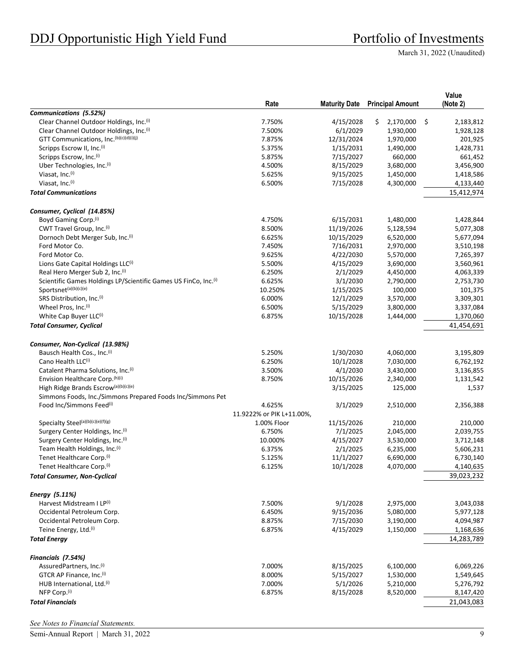|                                                                               |                           |                       |                               | Value                        |
|-------------------------------------------------------------------------------|---------------------------|-----------------------|-------------------------------|------------------------------|
|                                                                               | Rate                      | <b>Maturity Date</b>  | <b>Principal Amount</b>       | (Note 2)                     |
| Communications (5.52%)<br>Clear Channel Outdoor Holdings, Inc. <sup>(i)</sup> |                           |                       |                               |                              |
| Clear Channel Outdoor Holdings, Inc. <sup>(i)</sup>                           | 7.750%<br>7.500%          | 4/15/2028<br>6/1/2029 | \$.<br>2,170,000<br>1,930,000 | \$<br>2,183,812<br>1,928,128 |
| GTT Communications, Inc. <sup>(b)(c)(d)(i)(j)</sup>                           | 7.875%                    | 12/31/2024            | 1,970,000                     | 201,925                      |
| Scripps Escrow II, Inc.(i)                                                    | 5.375%                    | 1/15/2031             | 1,490,000                     | 1,428,731                    |
| Scripps Escrow, Inc.(i)                                                       | 5.875%                    | 7/15/2027             | 660,000                       | 661,452                      |
| Uber Technologies, Inc. <sup>(i)</sup>                                        | 4.500%                    | 8/15/2029             | 3,680,000                     | 3,456,900                    |
| Viasat, Inc.(i)                                                               | 5.625%                    | 9/15/2025             | 1,450,000                     | 1,418,586                    |
| Viasat, Inc.(i)                                                               | 6.500%                    | 7/15/2028             | 4,300,000                     | 4,133,440                    |
| <b>Total Communications</b>                                                   |                           |                       |                               | 15,412,974                   |
|                                                                               |                           |                       |                               |                              |
| Consumer, Cyclical (14.85%)                                                   |                           |                       |                               |                              |
| Boyd Gaming Corp. <sup>(i)</sup>                                              | 4.750%                    | 6/15/2031             | 1,480,000                     | 1,428,844                    |
| CWT Travel Group, Inc. <sup>(i)</sup>                                         | 8.500%                    | 11/19/2026            | 5,128,594                     | 5,077,308                    |
| Dornoch Debt Merger Sub, Inc.(i)                                              | 6.625%                    | 10/15/2029            | 6,520,000                     | 5,677,094                    |
| Ford Motor Co.                                                                | 7.450%                    | 7/16/2031             | 2,970,000                     | 3,510,198                    |
| Ford Motor Co.                                                                | 9.625%                    | 4/22/2030             | 5,570,000                     | 7,265,397                    |
| Lions Gate Capital Holdings LLC(i)                                            | 5.500%                    | 4/15/2029             | 3,690,000                     | 3,560,961                    |
| Real Hero Merger Sub 2, Inc. <sup>(i)</sup>                                   | 6.250%                    | 2/1/2029              | 4,450,000                     | 4,063,339                    |
| Scientific Games Holdings LP/Scientific Games US FinCo, Inc. <sup>(i)</sup>   | 6.625%                    | 3/1/2030              | 2,790,000                     | 2,753,730                    |
| Sportsnet <sup>(a)(b)(c)(e)</sup>                                             | 10.250%                   | 1/15/2025             | 100,000                       | 101,375                      |
| SRS Distribution, Inc.(i)                                                     | 6.000%                    | 12/1/2029             | 3,570,000                     | 3,309,301                    |
| Wheel Pros, Inc.(i)                                                           | 6.500%                    | 5/15/2029             | 3,800,000                     | 3,337,084                    |
| White Cap Buyer LLC <sup>(i)</sup>                                            | 6.875%                    | 10/15/2028            | 1,444,000                     | 1,370,060                    |
| <b>Total Consumer, Cyclical</b>                                               |                           |                       |                               | 41,454,691                   |
| Consumer, Non-Cyclical (13.98%)                                               |                           |                       |                               |                              |
| Bausch Health Cos., Inc. <sup>(i)</sup>                                       | 5.250%                    | 1/30/2030             | 4,060,000                     | 3,195,809                    |
| Cano Health LLC(i)                                                            | 6.250%                    | 10/1/2028             | 7,030,000                     | 6,762,192                    |
| Catalent Pharma Solutions, Inc. <sup>(i)</sup>                                | 3.500%                    | 4/1/2030              | 3,430,000                     | 3,136,855                    |
| Envision Healthcare Corp. (h)(i)                                              | 8.750%                    | 10/15/2026            | 2,340,000                     | 1,131,542                    |
| High Ridge Brands Escrow(a)(b)(c)(e)                                          |                           | 3/15/2025             | 125,000                       | 1,537                        |
| Simmons Foods, Inc./Simmons Prepared Foods Inc/Simmons Pet                    |                           |                       |                               |                              |
| Food Inc/Simmons Feed <sup>(i)</sup>                                          | 4.625%                    | 3/1/2029              | 2,510,000                     | 2,356,388                    |
|                                                                               | 11.9222% or PIK L+11.00%, |                       |                               |                              |
| Specialty Steel(a)(b)(c)(e)(f)(g)                                             | 1.00% Floor               | 11/15/2026            | 210,000                       | 210,000                      |
| Surgery Center Holdings, Inc. <sup>(i)</sup>                                  | 6.750%                    | 7/1/2025              | 2,045,000                     | 2,039,755                    |
| Surgery Center Holdings, Inc.(i)                                              | 10.000%                   | 4/15/2027             | 3,530,000                     | 3,712,148                    |
| Team Health Holdings, Inc. <sup>(i)</sup>                                     | 6.375%                    | 2/1/2025              | 6,235,000                     | 5,606,231                    |
| Tenet Healthcare Corp. <sup>(i)</sup>                                         | 5.125%                    | 11/1/2027             | 6,690,000                     | 6,730,140                    |
| Tenet Healthcare Corp. <sup>(i)</sup>                                         | 6.125%                    | 10/1/2028             | 4,070,000                     | 4,140,635                    |
| <b>Total Consumer, Non-Cyclical</b>                                           |                           |                       |                               | 39,023,232                   |
| Energy (5.11%)                                                                |                           |                       |                               |                              |
| Harvest Midstream I LP(i)                                                     | 7.500%                    | 9/1/2028              | 2,975,000                     | 3,043,038                    |
| Occidental Petroleum Corp.                                                    | 6.450%                    | 9/15/2036             | 5,080,000                     | 5,977,128                    |
| Occidental Petroleum Corp.                                                    | 8.875%                    | 7/15/2030             | 3,190,000                     | 4,094,987                    |
| Teine Energy, Ltd. <sup>(i)</sup>                                             | 6.875%                    | 4/15/2029             | 1,150,000                     | 1,168,636                    |
|                                                                               |                           |                       |                               |                              |
| <b>Total Energy</b>                                                           |                           |                       |                               | 14,283,789                   |
| Financials (7.54%)                                                            |                           |                       |                               |                              |
| AssuredPartners, Inc. <sup>(i)</sup>                                          | 7.000%                    | 8/15/2025             | 6,100,000                     | 6,069,226                    |
| GTCR AP Finance, Inc.(i)                                                      | 8.000%                    | 5/15/2027             | 1,530,000                     | 1,549,645                    |
| HUB International, Ltd.(i)                                                    | 7.000%                    | 5/1/2026              | 5,210,000                     | 5,276,792                    |
| NFP Corp. <sup>(i)</sup>                                                      | 6.875%                    | 8/15/2028             | 8,520,000                     | 8,147,420                    |
| <b>Total Financials</b>                                                       |                           |                       |                               | 21,043,083                   |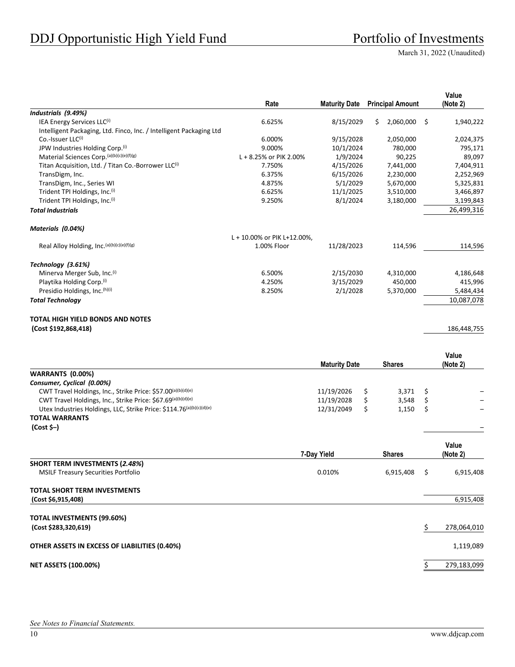|                                                                      | Rate                        | <b>Maturity Date</b> |    | <b>Principal Amount</b> |     | Value<br>(Note 2) |
|----------------------------------------------------------------------|-----------------------------|----------------------|----|-------------------------|-----|-------------------|
| Industrials (9.49%)                                                  |                             |                      |    |                         |     |                   |
| IEA Energy Services LLC(i)                                           | 6.625%                      | 8/15/2029            | Ś. | 2,060,000               | -\$ | 1,940,222         |
| Intelligent Packaging, Ltd. Finco, Inc. / Intelligent Packaging Ltd  |                             |                      |    |                         |     |                   |
| Co.-Issuer LLC(i)                                                    | 6.000%                      | 9/15/2028            |    | 2,050,000               |     | 2,024,375         |
| JPW Industries Holding Corp.(i)                                      | 9.000%                      | 10/1/2024            |    | 780,000                 |     | 795,171           |
| Material Sciences Corp. (a)(b)(c)(e)(f)(g)                           | L + 8.25% or PIK 2.00%      | 1/9/2024             |    | 90,225                  |     | 89,097            |
| Titan Acquisition, Ltd. / Titan Co.-Borrower LLC <sup>(i)</sup>      | 7.750%                      | 4/15/2026            |    | 7,441,000               |     | 7,404,911         |
| TransDigm, Inc.                                                      | 6.375%                      | 6/15/2026            |    | 2,230,000               |     | 2,252,969         |
| TransDigm, Inc., Series WI                                           | 4.875%                      | 5/1/2029             |    | 5,670,000               |     | 5,325,831         |
| Trident TPI Holdings, Inc.(i)                                        | 6.625%                      | 11/1/2025            |    | 3,510,000               |     | 3,466,897         |
| Trident TPI Holdings, Inc. <sup>(i)</sup>                            | 9.250%                      | 8/1/2024             |    | 3,180,000               |     | 3,199,843         |
| <b>Total Industrials</b>                                             |                             |                      |    |                         |     | 26,499,316        |
| Materials (0.04%)                                                    |                             |                      |    |                         |     |                   |
|                                                                      | L + 10.00% or PIK L+12.00%, |                      |    |                         |     |                   |
| Real Alloy Holding, Inc.(a)(b)(c)(e)(f)(g)                           | 1.00% Floor                 | 11/28/2023           |    | 114,596                 |     | 114,596           |
| Technology (3.61%)                                                   |                             |                      |    |                         |     |                   |
| Minerva Merger Sub, Inc. <sup>(i)</sup>                              | 6.500%                      | 2/15/2030            |    | 4,310,000               |     | 4,186,648         |
| Playtika Holding Corp.(i)                                            | 4.250%                      | 3/15/2029            |    | 450,000                 |     | 415,996           |
| Presidio Holdings, Inc. (h)(i)                                       | 8.250%                      | 2/1/2028             |    | 5,370,000               |     | 5,484,434         |
| <b>Total Technology</b>                                              |                             |                      |    |                         |     | 10,087,078        |
| <b>TOTAL HIGH YIELD BONDS AND NOTES</b>                              |                             |                      |    |                         |     |                   |
| (Cost \$192,868,418)                                                 |                             |                      |    |                         |     | 186,448,755       |
|                                                                      |                             | <b>Maturity Date</b> |    | <b>Shares</b>           |     | Value<br>(Note 2) |
| <b>WARRANTS (0.00%)</b>                                              |                             |                      |    |                         |     |                   |
| Consumer, Cyclical (0.00%)                                           |                             |                      |    |                         |     |                   |
| CWT Travel Holdings, Inc., Strike Price: \$57.00(a)(b)(d)(e)         |                             | 11/19/2026           | \$ | 3,371                   | \$  |                   |
| CWT Travel Holdings, Inc., Strike Price: \$67.69(a)(b)(d)(e)         |                             | 11/19/2028           | \$ | 3,548                   | \$  |                   |
| Utex Industries Holdings, LLC, Strike Price: \$114.76(a)(b)(c)(d)(e) |                             | 12/31/2049           | \$ | 1,150                   | \$  |                   |
| <b>TOTAL WARRANTS</b>                                                |                             |                      |    |                         |     |                   |
| $(Cost $-)$                                                          |                             |                      |    |                         |     |                   |
|                                                                      |                             | 7-Day Yield          |    | <b>Shares</b>           |     | Value<br>(Note 2) |
| <b>SHORT TERM INVESTMENTS (2.48%)</b>                                |                             |                      |    |                         |     |                   |
| <b>MSILF Treasury Securities Portfolio</b>                           |                             | 0.010%               |    | 6,915,408               | \$  | 6,915,408         |

# **TOTAL SHORT TERM INVESTMENTS**

| (Cost \$6,915,408)                            | 6,915,408   |
|-----------------------------------------------|-------------|
| TOTAL INVESTMENTS (99.60%)                    |             |
| (Cost \$283,320,619)                          | 278,064,010 |
| OTHER ASSETS IN EXCESS OF LIABILITIES (0.40%) | 1,119,089   |
| <b>NET ASSETS (100.00%)</b>                   | 279,183,099 |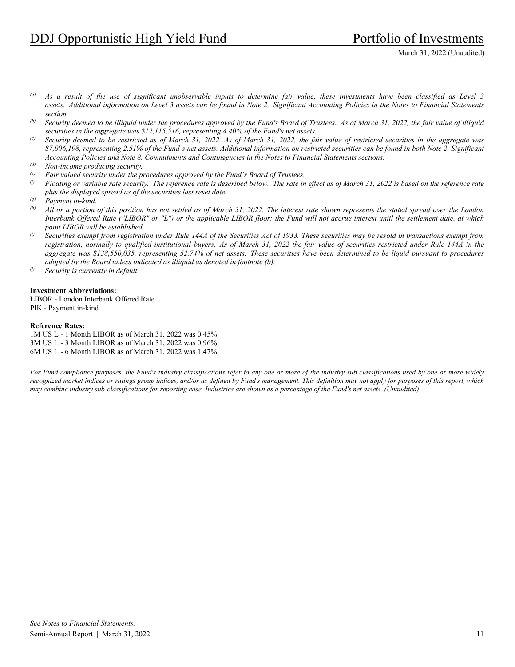- *(a) As a result of the use of significant unobservable inputs to determine fair value, these investments have been classified as Level 3 assets. Additional information on Level 3 assets can be found in Note 2. Significant Accounting Policies in the Notes to Financial Statements section.*
- *(b) Security deemed to be illiquid under the procedures approved by the Fund's Board of Trustees. As of March 31, 2022, the fair value of illiquid securities in the aggregate was \$12,115,516, representing 4.40% of the Fund's net assets.*
- *(c) Security deemed to be restricted as of March 31, 2022. As of March 31, 2022, the fair value of restricted securities in the aggregate was \$7,006,198, representing 2.51% of the Fund's net assets. Additional information on restricted securities can be found in both Note 2. Significant Accounting Policies and Note 8. Commitments and Contingencies in the Notes to Financial Statements sections.*
- *(d) Non-income producing security.*
- *(e) Fair valued security under the procedures approved by the Fund's Board of Trustees.*
- *(f) Floating or variable rate security. The reference rate is described below. The rate in effect as of March 31, 2022 is based on the reference rate plus the displayed spread as of the securities last reset date.*
- *(g) Payment in-kind.*
- *(h) All or a portion of this position has not settled as of March 31, 2022. The interest rate shown represents the stated spread over the London Interbank Offered Rate ("LIBOR" or "L") or the applicable LIBOR floor; the Fund will not accrue interest until the settlement date, at which point LIBOR will be established.*
- *(i) Securities exempt from registration under Rule 144A of the Securities Act of 1933. These securities may be resold in transactions exempt from registration, normally to qualified institutional buyers. As of March 31, 2022 the fair value of securities restricted under Rule 144A in the aggregate was \$138,550,035, representing 52.74% of net assets. These securities have been determined to be liquid pursuant to procedures adopted by the Board unless indicated as illiquid as denoted in footnote (b).*
- *(j) Security is currently in default.*

#### **Investment Abbreviations:**

LIBOR - London Interbank Offered Rate PIK - Payment in-kind

#### **Reference Rates:**

1M US L - 1 Month LIBOR as of March 31, 2022 was 0.45% 3M US L - 3 Month LIBOR as of March 31, 2022 was 0.96% 6M US L - 6 Month LIBOR as of March 31, 2022 was 1.47%

*For Fund compliance purposes, the Fund's industry classifications refer to any one or more of the industry sub-classifications used by one or more widely recognized market indices or ratings group indices, and/or as defined by Fund's management. This definition may not apply for purposes of this report, which may combine industry sub-classifications for reporting ease. Industries are shown as a percentage of the Fund's net assets. (Unaudited)*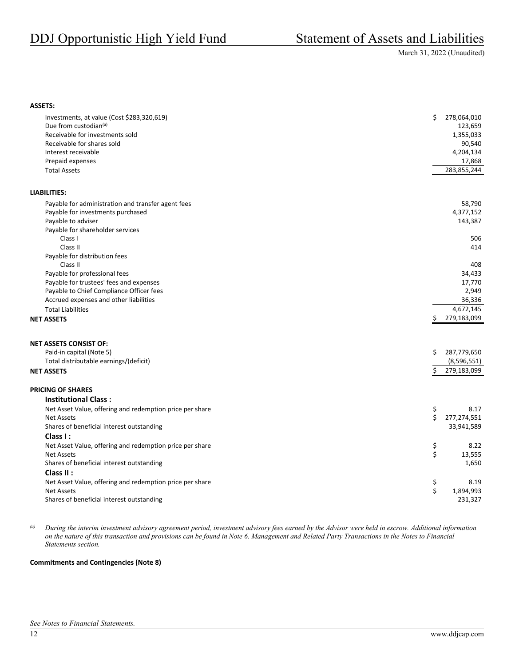#### **ASSETS:**

| Investments, at value (Cost \$283,320,619)<br>Due from custodian <sup>(a)</sup><br>Receivable for investments sold<br>Receivable for shares sold<br>Interest receivable<br>Prepaid expenses<br><b>Total Assets</b> | \$<br>278,064,010<br>123,659<br>1,355,033<br>90,540<br>4,204,134<br>17,868<br>283,855,244 |
|--------------------------------------------------------------------------------------------------------------------------------------------------------------------------------------------------------------------|-------------------------------------------------------------------------------------------|
| <b>LIABILITIES:</b>                                                                                                                                                                                                |                                                                                           |
| Payable for administration and transfer agent fees                                                                                                                                                                 | 58,790                                                                                    |
| Payable for investments purchased                                                                                                                                                                                  | 4,377,152                                                                                 |
| Payable to adviser                                                                                                                                                                                                 | 143,387                                                                                   |
| Payable for shareholder services                                                                                                                                                                                   |                                                                                           |
| Class I                                                                                                                                                                                                            | 506                                                                                       |
| Class II                                                                                                                                                                                                           | 414                                                                                       |
| Payable for distribution fees                                                                                                                                                                                      |                                                                                           |
| Class II                                                                                                                                                                                                           | 408                                                                                       |
| Payable for professional fees                                                                                                                                                                                      | 34,433                                                                                    |
| Payable for trustees' fees and expenses                                                                                                                                                                            | 17,770                                                                                    |
| Payable to Chief Compliance Officer fees                                                                                                                                                                           | 2,949                                                                                     |
| Accrued expenses and other liabilities                                                                                                                                                                             | 36,336<br>4,672,145                                                                       |
| <b>Total Liabilities</b>                                                                                                                                                                                           | \$<br>279,183,099                                                                         |
| <b>NET ASSETS</b>                                                                                                                                                                                                  |                                                                                           |
| <b>NET ASSETS CONSIST OF:</b>                                                                                                                                                                                      |                                                                                           |
| Paid-in capital (Note 5)                                                                                                                                                                                           | \$<br>287,779,650                                                                         |
| Total distributable earnings/(deficit)                                                                                                                                                                             | (8,596,551)                                                                               |
| <b>NET ASSETS</b>                                                                                                                                                                                                  | \$<br>279,183,099                                                                         |
| <b>PRICING OF SHARES</b>                                                                                                                                                                                           |                                                                                           |
| <b>Institutional Class:</b>                                                                                                                                                                                        |                                                                                           |
| Net Asset Value, offering and redemption price per share                                                                                                                                                           | \$<br>8.17                                                                                |
| <b>Net Assets</b>                                                                                                                                                                                                  | \$<br>277,274,551                                                                         |
| Shares of beneficial interest outstanding                                                                                                                                                                          | 33,941,589                                                                                |
| Class I:                                                                                                                                                                                                           |                                                                                           |
| Net Asset Value, offering and redemption price per share                                                                                                                                                           | \$<br>8.22                                                                                |
| <b>Net Assets</b>                                                                                                                                                                                                  | \$<br>13,555                                                                              |
| Shares of beneficial interest outstanding                                                                                                                                                                          | 1,650                                                                                     |
| Class II:                                                                                                                                                                                                          |                                                                                           |
| Net Asset Value, offering and redemption price per share                                                                                                                                                           | \$<br>8.19                                                                                |
| <b>Net Assets</b>                                                                                                                                                                                                  | \$<br>1,894,993                                                                           |
| Shares of beneficial interest outstanding                                                                                                                                                                          | 231,327                                                                                   |

*(a) During the interim investment advisory agreement period, investment advisory fees earned by the Advisor were held in escrow. Additional information on the nature of this transaction and provisions can be found in Note 6. Management and Related Party Transactions in the Notes to Financial Statements section.* 

#### **Commitments and Contingencies (Note 8)**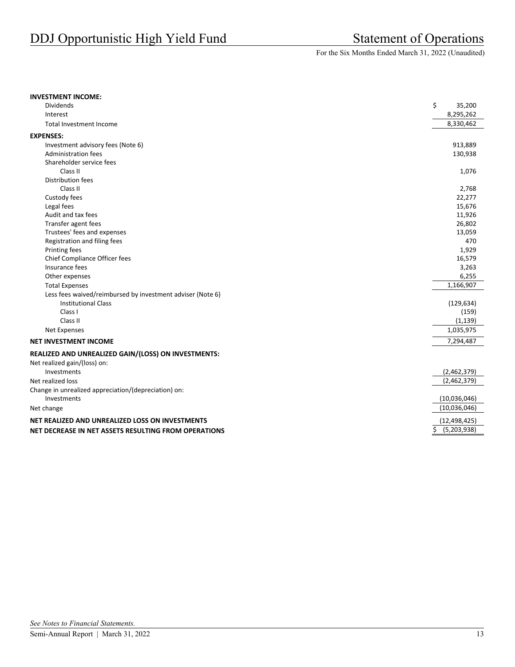For the Six Months Ended March 31, 2022 (Unaudited)

#### **INVESTMENT INCOME:**

| <b>Dividends</b>                                           | \$<br>35,200      |
|------------------------------------------------------------|-------------------|
| Interest                                                   | 8,295,262         |
| Total Investment Income                                    | 8,330,462         |
| <b>EXPENSES:</b>                                           |                   |
| Investment advisory fees (Note 6)                          | 913,889           |
| <b>Administration fees</b>                                 | 130,938           |
| Shareholder service fees                                   |                   |
| Class II                                                   | 1,076             |
| <b>Distribution fees</b>                                   |                   |
| Class II                                                   | 2,768             |
| Custody fees                                               | 22,277            |
| Legal fees                                                 | 15,676            |
| Audit and tax fees                                         | 11,926            |
| Transfer agent fees                                        | 26,802            |
| Trustees' fees and expenses                                | 13,059            |
| Registration and filing fees                               | 470               |
| Printing fees                                              | 1,929             |
| Chief Compliance Officer fees                              | 16,579            |
| Insurance fees                                             | 3,263             |
| Other expenses                                             | 6,255             |
| <b>Total Expenses</b>                                      | 1,166,907         |
| Less fees waived/reimbursed by investment adviser (Note 6) |                   |
| <b>Institutional Class</b>                                 | (129, 634)        |
| Class I                                                    | (159)             |
| Class II                                                   | (1, 139)          |
| Net Expenses                                               | 1,035,975         |
| <b>NET INVESTMENT INCOME</b>                               | 7,294,487         |
| REALIZED AND UNREALIZED GAIN/(LOSS) ON INVESTMENTS:        |                   |
| Net realized gain/(loss) on:                               |                   |
| Investments                                                | (2,462,379)       |
| Net realized loss                                          | (2,462,379)       |
| Change in unrealized appreciation/(depreciation) on:       |                   |
| Investments                                                | (10,036,046)      |
| Net change                                                 | (10,036,046)      |
| NET REALIZED AND UNREALIZED LOSS ON INVESTMENTS            | (12, 498, 425)    |
| NET DECREASE IN NET ASSETS RESULTING FROM OPERATIONS       | \$<br>(5,203,938) |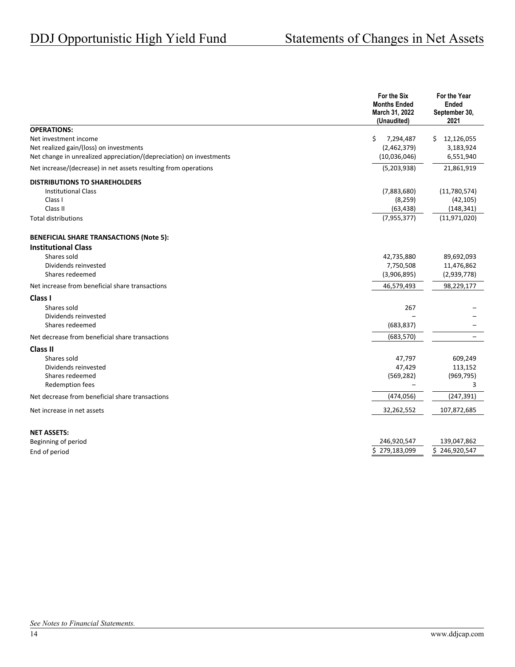|                                                                                                                                                               | For the Six<br><b>Months Ended</b><br>March 31, 2022<br>(Unaudited) | For the Year<br>Ended<br>September 30,<br>2021          |
|---------------------------------------------------------------------------------------------------------------------------------------------------------------|---------------------------------------------------------------------|---------------------------------------------------------|
| <b>OPERATIONS:</b><br>Net investment income<br>Net realized gain/(loss) on investments<br>Net change in unrealized appreciation/(depreciation) on investments | \$<br>7,294,487<br>(2,462,379)<br>(10,036,046)                      | \$12,126,055<br>3,183,924<br>6,551,940                  |
| Net increase/(decrease) in net assets resulting from operations                                                                                               | (5,203,938)                                                         | 21,861,919                                              |
| <b>DISTRIBUTIONS TO SHAREHOLDERS</b><br><b>Institutional Class</b><br>Class I<br>Class II<br><b>Total distributions</b>                                       | (7,883,680)<br>(8, 259)<br>(63, 438)<br>(7,955,377)                 | (11,780,574)<br>(42, 105)<br>(148, 341)<br>(11,971,020) |
| <b>BENEFICIAL SHARE TRANSACTIONS (Note 5):</b><br><b>Institutional Class</b><br>Shares sold<br>Dividends reinvested<br>Shares redeemed                        | 42,735,880<br>7,750,508<br>(3,906,895)                              | 89,692,093<br>11,476,862<br>(2,939,778)                 |
| Net increase from beneficial share transactions                                                                                                               | 46,579,493                                                          | 98,229,177                                              |
| Class I<br>Shares sold<br>Dividends reinvested<br>Shares redeemed                                                                                             | 267<br>(683, 837)                                                   |                                                         |
| Net decrease from beneficial share transactions                                                                                                               | (683, 570)                                                          |                                                         |
| <b>Class II</b><br>Shares sold<br>Dividends reinvested<br>Shares redeemed<br>Redemption fees                                                                  | 47,797<br>47,429<br>(569, 282)                                      | 609,249<br>113,152<br>(969, 795)<br>3                   |
| Net decrease from beneficial share transactions                                                                                                               | (474, 056)                                                          | (247, 391)                                              |
| Net increase in net assets                                                                                                                                    | 32,262,552                                                          | 107,872,685                                             |
| <b>NET ASSETS:</b><br>Beginning of period<br>End of period                                                                                                    | 246,920,547<br>Ś.<br>279,183,099                                    | 139,047,862<br>\$246,920,547                            |
|                                                                                                                                                               |                                                                     |                                                         |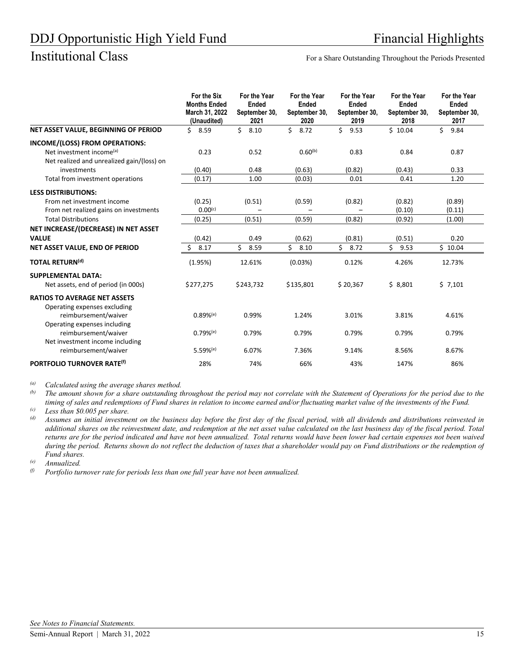Institutional Class For a Share Outstanding Throughout the Periods Presented

|                                                                                                                      | For the Six<br><b>Months Ended</b><br>March 31, 2022<br>(Unaudited) | For the Year<br>Ended<br>September 30,<br>2021 | For the Year<br><b>Ended</b><br>September 30,<br>2020 | For the Year<br>Ended<br>September 30,<br>2019 | For the Year<br>Ended<br>September 30,<br>2018 | For the Year<br>Ended<br>September 30,<br>2017 |
|----------------------------------------------------------------------------------------------------------------------|---------------------------------------------------------------------|------------------------------------------------|-------------------------------------------------------|------------------------------------------------|------------------------------------------------|------------------------------------------------|
| NET ASSET VALUE, BEGINNING OF PERIOD                                                                                 | \$8.59                                                              | \$<br>8.10                                     | \$<br>8.72                                            | Ś.<br>9.53                                     | \$10.04                                        | \$<br>9.84                                     |
| INCOME/(LOSS) FROM OPERATIONS:<br>Net investment income <sup>(a)</sup><br>Net realized and unrealized gain/(loss) on | 0.23                                                                | 0.52                                           | $0.60^{(b)}$                                          | 0.83                                           | 0.84                                           | 0.87                                           |
| investments                                                                                                          | (0.40)                                                              | 0.48                                           | (0.63)                                                | (0.82)                                         | (0.43)                                         | 0.33                                           |
| Total from investment operations                                                                                     | (0.17)                                                              | 1.00                                           | (0.03)                                                | 0.01                                           | 0.41                                           | 1.20                                           |
| <b>LESS DISTRIBUTIONS:</b>                                                                                           |                                                                     |                                                |                                                       |                                                |                                                |                                                |
| From net investment income                                                                                           | (0.25)                                                              | (0.51)                                         | (0.59)                                                | (0.82)                                         | (0.82)                                         | (0.89)                                         |
| From net realized gains on investments                                                                               | $0.00^{(c)}$                                                        |                                                |                                                       |                                                | (0.10)                                         | (0.11)                                         |
| <b>Total Distributions</b>                                                                                           | (0.25)                                                              | (0.51)                                         | (0.59)                                                | (0.82)                                         | (0.92)                                         | (1.00)                                         |
| NET INCREASE/(DECREASE) IN NET ASSET                                                                                 |                                                                     |                                                |                                                       |                                                |                                                |                                                |
| <b>VALUE</b>                                                                                                         | (0.42)                                                              | 0.49                                           | (0.62)                                                | (0.81)                                         | (0.51)                                         | 0.20                                           |
| NET ASSET VALUE, END OF PERIOD                                                                                       | Ś.<br>8.17                                                          | Ś.<br>8.59                                     | Ś.<br>8.10                                            | Ś.<br>8.72                                     | Ś.<br>9.53                                     | \$10.04                                        |
| <b>TOTAL RETURN(d)</b>                                                                                               | (1.95%)                                                             | 12.61%                                         | (0.03%)                                               | 0.12%                                          | 4.26%                                          | 12.73%                                         |
| <b>SUPPLEMENTAL DATA:</b>                                                                                            |                                                                     |                                                |                                                       |                                                |                                                |                                                |
| Net assets, end of period (in 000s)                                                                                  | \$277,275                                                           | \$243,732                                      | \$135,801                                             | \$20,367                                       | \$8,801                                        | \$7,101                                        |
| <b>RATIOS TO AVERAGE NET ASSETS</b>                                                                                  |                                                                     |                                                |                                                       |                                                |                                                |                                                |
| Operating expenses excluding<br>reimbursement/waiver                                                                 | $0.89%$ <sup>(e)</sup>                                              | 0.99%                                          | 1.24%                                                 | 3.01%                                          | 3.81%                                          | 4.61%                                          |
| Operating expenses including<br>reimbursement/waiver<br>Net investment income including                              | $0.79%$ <sup>(e)</sup>                                              | 0.79%                                          | 0.79%                                                 | 0.79%                                          | 0.79%                                          | 0.79%                                          |
| reimbursement/waiver                                                                                                 | $5.59%$ <sup>(e)</sup>                                              | 6.07%                                          | 7.36%                                                 | 9.14%                                          | 8.56%                                          | 8.67%                                          |
| PORTFOLIO TURNOVER RATE <sup>(f)</sup>                                                                               | 28%                                                                 | 74%                                            | 66%                                                   | 43%                                            | 147%                                           | 86%                                            |

*(a) Calculated using the average shares method.* 

*(b) The amount shown for a share outstanding throughout the period may not correlate with the Statement of Operations for the period due to the timing of sales and redemptions of Fund shares in relation to income earned and/or fluctuating market value of the investments of the Fund.* 

*(c) Less than \$0.005 per share.* 

*(d) Assumes an initial investment on the business day before the first day of the fiscal period, with all dividends and distributions reinvested in additional shares on the reinvestment date, and redemption at the net asset value calculated on the last business day of the fiscal period. Total returns are for the period indicated and have not been annualized. Total returns would have been lower had certain expenses not been waived during the period. Returns shown do not reflect the deduction of taxes that a shareholder would pay on Fund distributions or the redemption of Fund shares.* 

*(e) Annualized.* 

*(f) Portfolio turnover rate for periods less than one full year have not been annualized.*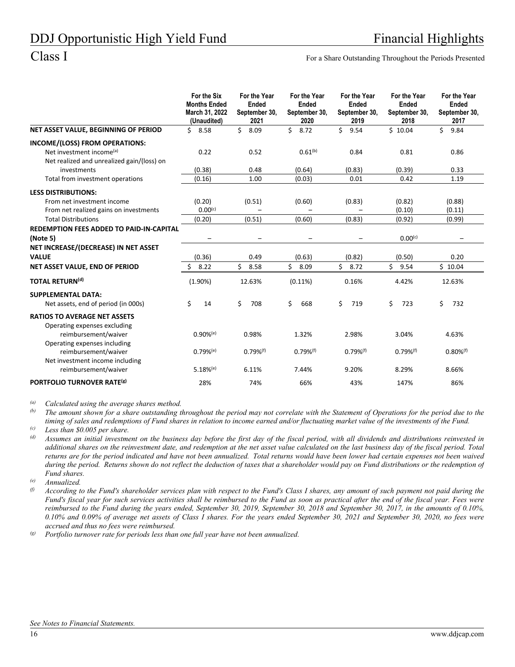Class I For a Share Outstanding Throughout the Periods Presented

|                                                                                                                                     | For the Six<br><b>Months Ended</b><br>March 31, 2022<br>(Unaudited) | For the Year<br>Ended<br>September 30,<br>2021 | For the Year<br>Ended<br>September 30,<br>2020 | For the Year<br>Ended<br>September 30,<br>2019 | For the Year<br>Ended<br>September 30,<br>2018 | For the Year<br>Ended<br>September 30,<br>2017 |
|-------------------------------------------------------------------------------------------------------------------------------------|---------------------------------------------------------------------|------------------------------------------------|------------------------------------------------|------------------------------------------------|------------------------------------------------|------------------------------------------------|
| NET ASSET VALUE, BEGINNING OF PERIOD                                                                                                | \$<br>8.58                                                          | \$<br>8.09                                     | \$<br>8.72                                     | \$<br>9.54                                     | \$10.04                                        | \$<br>9.84                                     |
| INCOME/(LOSS) FROM OPERATIONS:<br>Net investment income <sup>(a)</sup><br>Net realized and unrealized gain/(loss) on<br>investments | 0.22<br>(0.38)                                                      | 0.52<br>0.48                                   | $0.61^{(b)}$<br>(0.64)                         | 0.84<br>(0.83)                                 | 0.81<br>(0.39)                                 | 0.86<br>0.33                                   |
| Total from investment operations                                                                                                    | (0.16)                                                              | 1.00                                           | (0.03)                                         | 0.01                                           | 0.42                                           | 1.19                                           |
| <b>LESS DISTRIBUTIONS:</b><br>From net investment income<br>From net realized gains on investments                                  | (0.20)<br>$0.00^{(c)}$                                              | (0.51)                                         | (0.60)                                         | (0.83)                                         | (0.82)<br>(0.10)                               | (0.88)<br>(0.11)                               |
| <b>Total Distributions</b>                                                                                                          | (0.20)                                                              | (0.51)                                         | (0.60)                                         | (0.83)                                         | (0.92)                                         | (0.99)                                         |
| <b>REDEMPTION FEES ADDED TO PAID-IN-CAPITAL</b><br>(Note 5)                                                                         |                                                                     |                                                |                                                |                                                | $0.00^{(c)}$                                   |                                                |
| NET INCREASE/(DECREASE) IN NET ASSET                                                                                                |                                                                     |                                                |                                                |                                                |                                                |                                                |
| <b>VALUE</b><br>NET ASSET VALUE, END OF PERIOD                                                                                      | (0.36)<br>8.22<br>Ś                                                 | 0.49<br>Ś.<br>8.58                             | (0.63)<br>\$<br>8.09                           | (0.82)<br>\$<br>8.72                           | (0.50)<br>Ś<br>9.54                            | 0.20<br>\$10.04                                |
| <b>TOTAL RETURN(d)</b>                                                                                                              | (1.90%)                                                             | 12.63%                                         | (0.11%)                                        | 0.16%                                          | 4.42%                                          | 12.63%                                         |
| <b>SUPPLEMENTAL DATA:</b><br>Net assets, end of period (in 000s)                                                                    | \$<br>14                                                            | \$<br>708                                      | \$<br>668                                      | \$<br>719                                      | \$<br>723                                      | \$<br>732                                      |
| <b>RATIOS TO AVERAGE NET ASSETS</b><br>Operating expenses excluding<br>reimbursement/waiver<br>Operating expenses including         | $0.90%$ <sup>(e)</sup>                                              | 0.98%                                          | 1.32%                                          | 2.98%                                          | 3.04%                                          | 4.63%                                          |
| reimbursement/waiver<br>Net investment income including<br>reimbursement/waiver                                                     | $0.79%$ <sup>(e)</sup><br>$5.18%$ <sup>(e)</sup>                    | $0.79%$ <sup>(f)</sup><br>6.11%                | $0.79%$ <sup>(f)</sup><br>7.44%                | $0.79%$ <sup>(f)</sup><br>9.20%                | $0.79%$ <sup>(f)</sup><br>8.29%                | $0.80\%$ <sup>(f)</sup><br>8.66%               |
| PORTFOLIO TURNOVER RATE <sup>(g)</sup>                                                                                              | 28%                                                                 | 74%                                            | 66%                                            | 43%                                            | 147%                                           | 86%                                            |

*(a) Calculated using the average shares method.* 

The amount shown for a share outstanding throughout the period may not correlate with the Statement of Operations for the period due to the *timing of sales and redemptions of Fund shares in relation to income earned and/or fluctuating market value of the investments of the Fund.* 

*(c) Less than \$0.005 per share.* 

- *(d) Assumes an initial investment on the business day before the first day of the fiscal period, with all dividends and distributions reinvested in additional shares on the reinvestment date, and redemption at the net asset value calculated on the last business day of the fiscal period. Total returns are for the period indicated and have not been annualized. Total returns would have been lower had certain expenses not been waived during the period. Returns shown do not reflect the deduction of taxes that a shareholder would pay on Fund distributions or the redemption of Fund shares.*
- *(e) Annualized.*
- *(f) According to the Fund's shareholder services plan with respect to the Fund's Class I shares, any amount of such payment not paid during the Fund's fiscal year for such services activities shall be reimbursed to the Fund as soon as practical after the end of the fiscal year. Fees were reimbursed to the Fund during the years ended, September 30, 2019, September 30, 2018 and September 30, 2017, in the amounts of 0.10%, 0.10% and 0.09% of average net assets of Class I shares. For the years ended September 30, 2021 and September 30, 2020, no fees were accrued and thus no fees were reimbursed.*

*(g) Portfolio turnover rate for periods less than one full year have not been annualized.*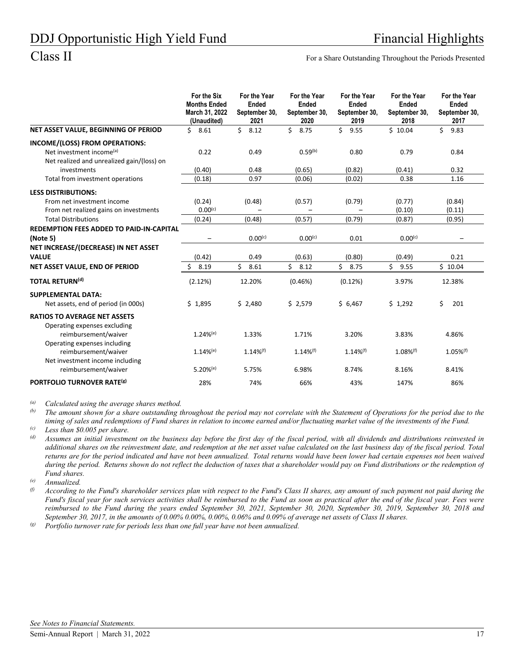Class II For a Share Outstanding Throughout the Periods Presented

|                                                                                                                      | For the Six<br><b>Months Ended</b><br>March 31, 2022<br>(Unaudited) | For the Year<br><b>Ended</b><br>September 30,<br>2021 | For the Year<br>Ended<br>September 30,<br>2020 | For the Year<br><b>Ended</b><br>September 30,<br>2019 | For the Year<br>Ended<br>September 30,<br>2018 | For the Year<br>Ended<br>September 30,<br>2017 |
|----------------------------------------------------------------------------------------------------------------------|---------------------------------------------------------------------|-------------------------------------------------------|------------------------------------------------|-------------------------------------------------------|------------------------------------------------|------------------------------------------------|
| NET ASSET VALUE, BEGINNING OF PERIOD                                                                                 | \$8.61                                                              | \$<br>8.12                                            | Ś.<br>8.75                                     | \$<br>9.55                                            | \$10.04                                        | \$<br>9.83                                     |
| INCOME/(LOSS) FROM OPERATIONS:<br>Net investment income <sup>(a)</sup><br>Net realized and unrealized gain/(loss) on | 0.22                                                                | 0.49                                                  | $0.59^{(b)}$                                   | 0.80                                                  | 0.79                                           | 0.84                                           |
| investments                                                                                                          | (0.40)                                                              | 0.48                                                  | (0.65)                                         | (0.82)                                                | (0.41)                                         | 0.32                                           |
| Total from investment operations                                                                                     | (0.18)                                                              | 0.97                                                  | (0.06)                                         | (0.02)                                                | 0.38                                           | 1.16                                           |
| <b>LESS DISTRIBUTIONS:</b>                                                                                           |                                                                     |                                                       |                                                |                                                       |                                                |                                                |
| From net investment income                                                                                           | (0.24)                                                              | (0.48)                                                | (0.57)                                         | (0.79)                                                | (0.77)                                         | (0.84)                                         |
| From net realized gains on investments                                                                               | $0.00^{(c)}$                                                        |                                                       |                                                |                                                       | (0.10)                                         | (0.11)                                         |
| <b>Total Distributions</b>                                                                                           | (0.24)                                                              | (0.48)                                                | (0.57)                                         | (0.79)                                                | (0.87)                                         | (0.95)                                         |
| <b>REDEMPTION FEES ADDED TO PAID-IN-CAPITAL</b>                                                                      |                                                                     |                                                       |                                                |                                                       |                                                |                                                |
| (Note 5)                                                                                                             |                                                                     | 0.00 <sup>(c)</sup>                                   | $0.00^{(c)}$                                   | 0.01                                                  | $0.00^{(c)}$                                   |                                                |
| NET INCREASE/(DECREASE) IN NET ASSET                                                                                 |                                                                     |                                                       |                                                |                                                       |                                                |                                                |
| <b>VALUE</b>                                                                                                         | (0.42)                                                              | 0.49                                                  | (0.63)                                         | (0.80)                                                | (0.49)                                         | 0.21                                           |
| NET ASSET VALUE, END OF PERIOD                                                                                       | 8.19<br>Ś.                                                          | Ś.<br>8.61                                            | \$<br>8.12                                     | Ś.<br>8.75                                            | Ś<br>9.55                                      | \$10.04                                        |
| <b>TOTAL RETURN(d)</b>                                                                                               | (2.12%)                                                             | 12.20%                                                | (0.46%)                                        | (0.12%)                                               | 3.97%                                          | 12.38%                                         |
| <b>SUPPLEMENTAL DATA:</b><br>Net assets, end of period (in 000s)                                                     | \$1,895                                                             | \$2,480                                               | \$2,579                                        | \$6,467                                               | \$1,292                                        | \$<br>201                                      |
| <b>RATIOS TO AVERAGE NET ASSETS</b><br>Operating expenses excluding                                                  | $1.24%$ <sup>(e)</sup>                                              | 1.33%                                                 |                                                | 3.20%                                                 | 3.83%                                          | 4.86%                                          |
| reimbursement/waiver<br>Operating expenses including                                                                 |                                                                     |                                                       | 1.71%                                          |                                                       |                                                |                                                |
| reimbursement/waiver<br>Net investment income including                                                              | $1.14%$ <sup>(e)</sup>                                              | $1.14\%$ <sup>(f)</sup>                               | $1.14\%$ <sup>(f)</sup>                        | $1.14\%$ <sup>(f)</sup>                               | $1.08\%$ <sup>(f)</sup>                        | $1.05\%$ <sup>(f)</sup>                        |
| reimbursement/waiver                                                                                                 | $5.20%$ <sup>(e)</sup>                                              | 5.75%                                                 | 6.98%                                          | 8.74%                                                 | 8.16%                                          | 8.41%                                          |
| PORTFOLIO TURNOVER RATE <sup>(g)</sup>                                                                               | 28%                                                                 | 74%                                                   | 66%                                            | 43%                                                   | 147%                                           | 86%                                            |

*(a) Calculated using the average shares method.* 

The amount shown for a share outstanding throughout the period may not correlate with the Statement of Operations for the period due to the *timing of sales and redemptions of Fund shares in relation to income earned and/or fluctuating market value of the investments of the Fund.* 

*(c) Less than \$0.005 per share.* 

*(d) Assumes an initial investment on the business day before the first day of the fiscal period, with all dividends and distributions reinvested in additional shares on the reinvestment date, and redemption at the net asset value calculated on the last business day of the fiscal period. Total returns are for the period indicated and have not been annualized. Total returns would have been lower had certain expenses not been waived during the period. Returns shown do not reflect the deduction of taxes that a shareholder would pay on Fund distributions or the redemption of Fund shares.* 

*(e) Annualized.* 

*(f) According to the Fund's shareholder services plan with respect to the Fund's Class II shares, any amount of such payment not paid during the Fund's fiscal year for such services activities shall be reimbursed to the Fund as soon as practical after the end of the fiscal year. Fees were reimbursed to the Fund during the years ended September 30, 2021, September 30, 2020, September 30, 2019, September 30, 2018 and September 30, 2017, in the amounts of 0.00% 0.00%, 0.00%, 0.06% and 0.09% of average net assets of Class II shares.* 

*(g) Portfolio turnover rate for periods less than one full year have not been annualized.*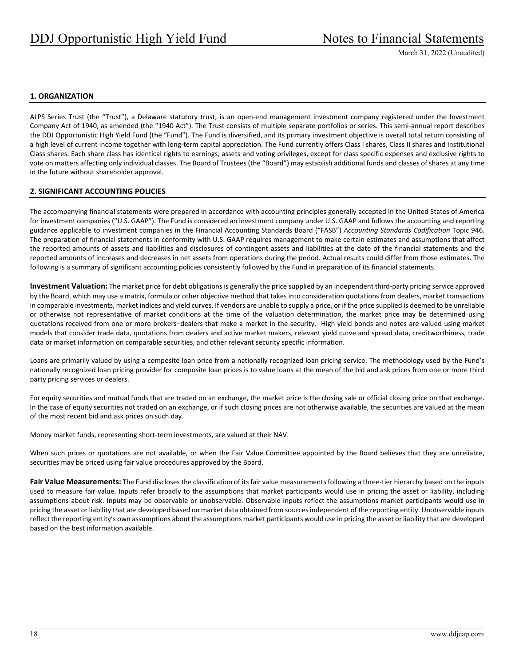### **1. ORGANIZATION**

ALPS Series Trust (the "Trust"), a Delaware statutory trust, is an open‐end management investment company registered under the Investment Company Act of 1940, as amended (the "1940 Act"). The Trust consists of multiple separate portfolios or series. This semi‐annual report describes the DDJ Opportunistic High Yield Fund (the "Fund"). The Fund is diversified, and its primary investment objective is overall total return consisting of a high level of current income together with long-term capital appreciation. The Fund currently offers Class I shares, Class II shares and Institutional Class shares. Each share class has identical rights to earnings, assets and voting privileges, except for class specific expenses and exclusive rights to vote on matters affecting only individual classes. The Board of Trustees (the "Board") may establish additional funds and classes of shares at any time in the future without shareholder approval.

#### **2. SIGNIFICANT ACCOUNTING POLICIES**

The accompanying financial statements were prepared in accordance with accounting principles generally accepted in the United States of America for investment companies ("U.S. GAAP"). The Fund is considered an investment company under U.S. GAAP and follows the accounting and reporting guidance applicable to investment companies in the Financial Accounting Standards Board ("FASB") *Accounting Standards Codification* Topic 946. The preparation of financial statements in conformity with U.S. GAAP requires management to make certain estimates and assumptions that affect the reported amounts of assets and liabilities and disclosures of contingent assets and liabilities at the date of the financial statements and the reported amounts of increases and decreases in net assets from operations during the period. Actual results could differ from those estimates. The following is a summary of significant accounting policies consistently followed by the Fund in preparation of its financial statements.

Investment Valuation: The market price for debt obligations is generally the price supplied by an independent third-party pricing service approved by the Board, which may use a matrix, formula or other objective method that takes into consideration quotations from dealers, market transactions in comparable investments, market indices and yield curves. If vendors are unable to supply a price, or if the price supplied is deemed to be unreliable or otherwise not representative of market conditions at the time of the valuation determination, the market price may be determined using quotations received from one or more brokers–dealers that make a market in the security. High yield bonds and notes are valued using market models that consider trade data, quotations from dealers and active market makers, relevant yield curve and spread data, creditworthiness, trade data or market information on comparable securities, and other relevant security specific information.

Loans are primarily valued by using a composite loan price from a nationally recognized loan pricing service. The methodology used by the Fund's nationally recognized loan pricing provider for composite loan prices is to value loans at the mean of the bid and ask prices from one or more third party pricing services or dealers.

For equity securities and mutual funds that are traded on an exchange, the market price is the closing sale or official closing price on that exchange. In the case of equity securities not traded on an exchange, or if such closing prices are not otherwise available, the securities are valued at the mean of the most recent bid and ask prices on such day.

Money market funds, representing short‐term investments, are valued at their NAV.

When such prices or quotations are not available, or when the Fair Value Committee appointed by the Board believes that they are unreliable, securities may be priced using fair value procedures approved by the Board.

**Fair Value Measurements:** The Fund discloses the classification of its fair value measurements following a three‐tier hierarchy based on the inputs used to measure fair value. Inputs refer broadly to the assumptions that market participants would use in pricing the asset or liability, including assumptions about risk. Inputs may be observable or unobservable. Observable inputs reflect the assumptions market participants would use in pricing the asset or liability that are developed based on market data obtained from sourcesindependent of the reporting entity. Unobservable inputs reflect the reporting entity's own assumptions about the assumptions market participants would use in pricing the asset or liability that are developed based on the best information available.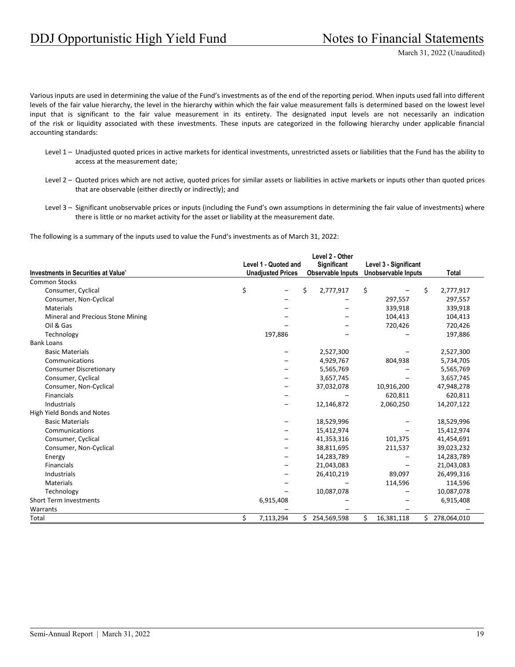Various inputs are used in determining the value of the Fund's investments as of the end of the reporting period. When inputs used fall into different levels of the fair value hierarchy, the level in the hierarchy within which the fair value measurement falls is determined based on the lowest level input that is significant to the fair value measurement in its entirety. The designated input levels are not necessarily an indication of the risk or liquidity associated with these investments. These inputs are categorized in the following hierarchy under applicable financial accounting standards:

- Level 1 Unadjusted quoted prices in active markets for identical investments, unrestricted assets or liabilities that the Fund has the ability to access at the measurement date;
- Level 2 Quoted prices which are not active, quoted prices for similar assets or liabilities in active markets or inputs other than quoted prices that are observable (either directly or indirectly); and
- Level 3 Significant unobservable prices or inputs (including the Fund's own assumptions in determining the fair value of investments) where there is little or no market activity for the asset or liability at the measurement date.

The following is a summary of the inputs used to value the Fund's investments as of March 31, 2022:

|                                     | Level 1 - Quoted and     | Level 2 - Other<br>Significant | Level 3 - Significant |     |             |
|-------------------------------------|--------------------------|--------------------------------|-----------------------|-----|-------------|
| Investments in Securities at Value* | <b>Unadjusted Prices</b> | <b>Observable Inputs</b>       | Unobservable Inputs   |     | Total       |
| <b>Common Stocks</b>                |                          |                                |                       |     |             |
| Consumer, Cyclical                  | \$                       | \$<br>2,777,917                | \$                    | \$  | 2,777,917   |
| Consumer, Non-Cyclical              |                          |                                | 297,557               |     | 297,557     |
| <b>Materials</b>                    |                          |                                | 339,918               |     | 339,918     |
| Mineral and Precious Stone Mining   |                          |                                | 104,413               |     | 104,413     |
| Oil & Gas                           |                          |                                | 720,426               |     | 720,426     |
| Technology                          | 197,886                  |                                |                       |     | 197,886     |
| <b>Bank Loans</b>                   |                          |                                |                       |     |             |
| <b>Basic Materials</b>              |                          | 2,527,300                      |                       |     | 2,527,300   |
| Communications                      |                          | 4,929,767                      | 804,938               |     | 5,734,705   |
| <b>Consumer Discretionary</b>       |                          | 5,565,769                      |                       |     | 5,565,769   |
| Consumer, Cyclical                  |                          | 3,657,745                      |                       |     | 3,657,745   |
| Consumer, Non-Cyclical              |                          | 37,032,078                     | 10,916,200            |     | 47,948,278  |
| Financials                          |                          |                                | 620,811               |     | 620,811     |
| Industrials                         |                          | 12,146,872                     | 2,060,250             |     | 14,207,122  |
| High Yield Bonds and Notes          |                          |                                |                       |     |             |
| <b>Basic Materials</b>              |                          | 18,529,996                     |                       |     | 18,529,996  |
| Communications                      |                          | 15,412,974                     |                       |     | 15,412,974  |
| Consumer, Cyclical                  |                          | 41,353,316                     | 101,375               |     | 41,454,691  |
| Consumer, Non-Cyclical              |                          | 38,811,695                     | 211,537               |     | 39,023,232  |
| Energy                              |                          | 14,283,789                     |                       |     | 14,283,789  |
| Financials                          |                          | 21,043,083                     |                       |     | 21,043,083  |
| Industrials                         |                          | 26,410,219                     | 89,097                |     | 26,499,316  |
| Materials                           |                          |                                | 114,596               |     | 114,596     |
| Technology                          |                          | 10,087,078                     |                       |     | 10,087,078  |
| <b>Short Term Investments</b>       | 6,915,408                |                                |                       |     | 6,915,408   |
| Warrants                            |                          |                                |                       |     |             |
| Total                               | \$<br>7,113,294          | \$<br>254,569,598              | \$<br>16,381,118      | \$. | 278,064,010 |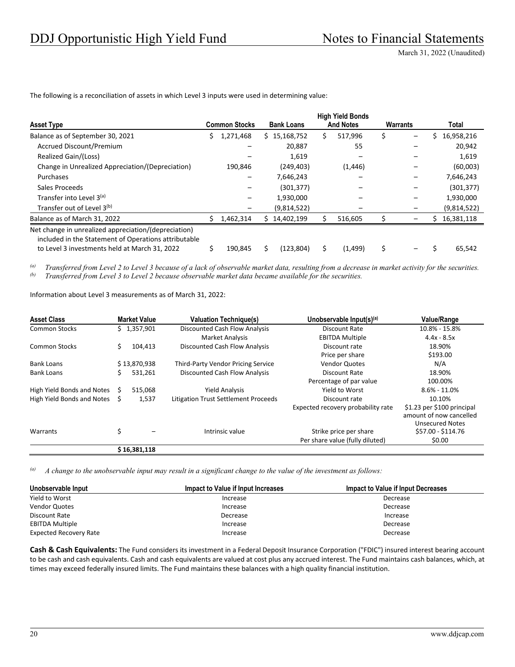|                                                                                                                                                               |   |                      |                   |    | <b>High Yield Bonds</b> |          |   |             |
|---------------------------------------------------------------------------------------------------------------------------------------------------------------|---|----------------------|-------------------|----|-------------------------|----------|---|-------------|
| <b>Asset Type</b>                                                                                                                                             |   | <b>Common Stocks</b> | <b>Bank Loans</b> |    | <b>And Notes</b>        | Warrants |   | Total       |
| Balance as of September 30, 2021                                                                                                                              | S | 1,271,468            | \$15,168,752      | Ś  | 517,996                 | \$       | S | 16,958,216  |
| Accrued Discount/Premium                                                                                                                                      |   |                      | 20,887            |    | 55                      |          |   | 20,942      |
| Realized Gain/(Loss)                                                                                                                                          |   |                      | 1,619             |    |                         |          |   | 1,619       |
| Change in Unrealized Appreciation/(Depreciation)                                                                                                              |   | 190,846              | (249, 403)        |    | (1, 446)                |          |   | (60,003)    |
| Purchases                                                                                                                                                     |   |                      | 7,646,243         |    |                         |          |   | 7,646,243   |
| Sales Proceeds                                                                                                                                                |   |                      | (301, 377)        |    |                         |          |   | (301, 377)  |
| Transfer into Level 3(a)                                                                                                                                      |   |                      | 1,930,000         |    |                         |          |   | 1,930,000   |
| Transfer out of Level 3(b)                                                                                                                                    |   |                      | (9,814,522)       |    |                         |          |   | (9,814,522) |
| Balance as of March 31, 2022                                                                                                                                  |   | 1,462,314            | 14,402,199        | Ś. | 516,605                 |          | S | 16,381,118  |
| Net change in unrealized appreciation/(depreciation)<br>included in the Statement of Operations attributable<br>to Level 3 investments held at March 31, 2022 |   | 190,845              | (123,804)         | \$ | (1, 499)                | \$       |   | 65,542      |

The following is a reconciliation of assets in which Level 3 inputs were used in determining value:

*(a) Transferred from Level 2 to Level 3 because of a lack of observable market data, resulting from a decrease in market activity for the securities. (b) Transferred from Level 3 to Level 2 because observable market data became available for the securities.* 

Information about Level 3 measurements as of March 31, 2022:

| <b>Asset Class</b>            |    | <b>Market Value</b> | <b>Valuation Technique(s)</b>        | Unobservable Input(s)(a)           | <b>Value/Range</b>                                                              |
|-------------------------------|----|---------------------|--------------------------------------|------------------------------------|---------------------------------------------------------------------------------|
| <b>Common Stocks</b>          |    | \$1,357,901         | Discounted Cash Flow Analysis        | Discount Rate                      | 10.8% - 15.8%                                                                   |
|                               |    |                     | <b>Market Analysis</b>               | <b>EBITDA Multiple</b>             | $4.4x - 8.5x$                                                                   |
| <b>Common Stocks</b>          | Ś. | 104,413             | Discounted Cash Flow Analysis        | Discount rate                      | 18.90%                                                                          |
|                               |    |                     |                                      | Price per share                    | \$193.00                                                                        |
| <b>Bank Loans</b>             |    | \$13,870,938        | Third-Party Vendor Pricing Service   | <b>Vendor Quotes</b>               | N/A                                                                             |
| <b>Bank Loans</b>             |    | 531,261             | Discounted Cash Flow Analysis        | Discount Rate                      | 18.90%                                                                          |
|                               |    |                     |                                      | Percentage of par value            | 100.00%                                                                         |
| High Yield Bonds and Notes    |    | 515,068             | <b>Yield Analysis</b>                | Yield to Worst                     | $8.6\% - 11.0\%$                                                                |
| High Yield Bonds and Notes \$ |    | 1,537               | Litigation Trust Settlement Proceeds | Discount rate                      | 10.10%                                                                          |
|                               |    |                     |                                      | Expected recovery probability rate | \$1.23 per \$100 principal<br>amount of now cancelled<br><b>Unsecured Notes</b> |
| Warrants                      | \$ |                     | Intrinsic value                      | Strike price per share             | \$57.00 - \$114.76                                                              |
|                               |    |                     |                                      | Per share value (fully diluted)    | \$0.00                                                                          |
|                               |    | \$16,381,118        |                                      |                                    |                                                                                 |

*(a) A change to the unobservable input may result in a significant change to the value of the investment as follows:* 

| Unobservable Input            | Impact to Value if Input Increases | <b>Impact to Value if Input Decreases</b> |
|-------------------------------|------------------------------------|-------------------------------------------|
| Yield to Worst                | Increase                           | Decrease                                  |
| <b>Vendor Quotes</b>          | Increase                           | Decrease                                  |
| Discount Rate                 | Decrease                           | Increase                                  |
| <b>EBITDA Multiple</b>        | Increase                           | Decrease                                  |
| <b>Expected Recovery Rate</b> | Increase                           | Decrease                                  |

**Cash & Cash Equivalents:** The Fund considers its investment in a Federal Deposit Insurance Corporation ("FDIC") insured interest bearing account to be cash and cash equivalents. Cash and cash equivalents are valued at cost plus any accrued interest. The Fund maintains cash balances, which, at times may exceed federally insured limits. The Fund maintains these balances with a high quality financial institution.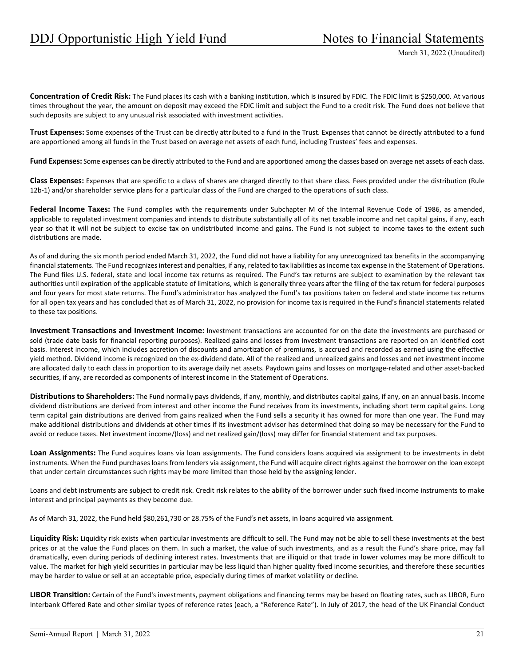**Concentration of Credit Risk:** The Fund places its cash with a banking institution, which is insured by FDIC. The FDIC limit is \$250,000. At various times throughout the year, the amount on deposit may exceed the FDIC limit and subject the Fund to a credit risk. The Fund does not believe that such deposits are subject to any unusual risk associated with investment activities.

**Trust Expenses:** Some expenses of the Trust can be directly attributed to a fund in the Trust. Expenses that cannot be directly attributed to a fund are apportioned among all funds in the Trust based on average net assets of each fund, including Trustees' fees and expenses.

Fund Expenses: Some expenses can be directly attributed to the Fund and are apportioned among the classes based on average net assets of each class.

**Class Expenses:** Expenses that are specific to a class of shares are charged directly to that share class. Fees provided under the distribution (Rule 12b‐1) and/or shareholder service plans for a particular class of the Fund are charged to the operations of such class.

**Federal Income Taxes:** The Fund complies with the requirements under Subchapter M of the Internal Revenue Code of 1986, as amended, applicable to regulated investment companies and intends to distribute substantially all of its net taxable income and net capital gains, if any, each year so that it will not be subject to excise tax on undistributed income and gains. The Fund is not subject to income taxes to the extent such distributions are made.

As of and during the six month period ended March 31, 2022, the Fund did not have a liability for any unrecognized tax benefits in the accompanying financial statements. The Fund recognizes interest and penalties, if any, related to tax liabilities as income tax expense in the Statement of Operations. The Fund files U.S. federal, state and local income tax returns as required. The Fund's tax returns are subject to examination by the relevant tax authorities until expiration of the applicable statute of limitations, which is generally three years after the filing of the tax return for federal purposes and four years for most state returns. The Fund's administrator has analyzed the Fund's tax positions taken on federal and state income tax returns for all open tax years and has concluded that as of March 31, 2022, no provision for income tax is required in the Fund's financial statements related to these tax positions.

**Investment Transactions and Investment Income:** Investment transactions are accounted for on the date the investments are purchased or sold (trade date basis for financial reporting purposes). Realized gains and losses from investment transactions are reported on an identified cost basis. Interest income, which includes accretion of discounts and amortization of premiums, is accrued and recorded as earned using the effective yield method. Dividend income is recognized on the ex‐dividend date. All of the realized and unrealized gains and losses and net investment income are allocated daily to each class in proportion to its average daily net assets. Paydown gains and losses on mortgage‐related and other asset‐backed securities, if any, are recorded as components of interest income in the Statement of Operations.

**Distributions to Shareholders:** The Fund normally pays dividends, if any, monthly, and distributes capital gains, if any, on an annual basis. Income dividend distributions are derived from interest and other income the Fund receives from its investments, including short term capital gains. Long term capital gain distributions are derived from gains realized when the Fund sells a security it has owned for more than one year. The Fund may make additional distributions and dividends at other times if its investment advisor has determined that doing so may be necessary for the Fund to avoid or reduce taxes. Net investment income/(loss) and net realized gain/(loss) may differ for financial statement and tax purposes.

**Loan Assignments:** The Fund acquires loans via loan assignments. The Fund considers loans acquired via assignment to be investments in debt instruments. When the Fund purchasesloans from lenders via assignment, the Fund will acquire direct rights against the borrower on the loan except that under certain circumstances such rights may be more limited than those held by the assigning lender.

Loans and debt instruments are subject to credit risk. Credit risk relates to the ability of the borrower under such fixed income instruments to make interest and principal payments as they become due.

As of March 31, 2022, the Fund held \$80,261,730 or 28.75% of the Fund's net assets, in loans acquired via assignment.

**Liquidity Risk:** Liquidity risk exists when particular investments are difficult to sell. The Fund may not be able to sell these investments at the best prices or at the value the Fund places on them. In such a market, the value of such investments, and as a result the Fund's share price, may fall dramatically, even during periods of declining interest rates. Investments that are illiquid or that trade in lower volumes may be more difficult to value. The market for high yield securities in particular may be less liquid than higher quality fixed income securities, and therefore these securities may be harder to value or sell at an acceptable price, especially during times of market volatility or decline.

**LIBOR Transition:** Certain of the Fund's investments, payment obligations and financing terms may be based on floating rates, such as LIBOR, Euro Interbank Offered Rate and other similar types of reference rates (each, a "Reference Rate"). In July of 2017, the head of the UK Financial Conduct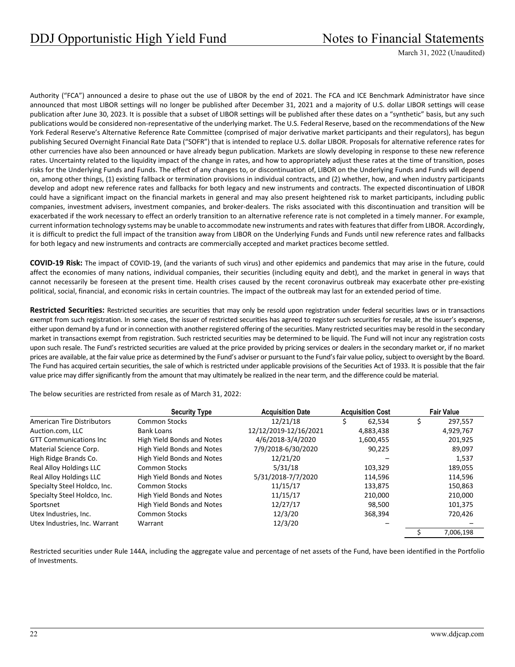Authority ("FCA") announced a desire to phase out the use of LIBOR by the end of 2021. The FCA and ICE Benchmark Administrator have since announced that most LIBOR settings will no longer be published after December 31, 2021 and a majority of U.S. dollar LIBOR settings will cease publication after June 30, 2023. It is possible that a subset of LIBOR settings will be published after these dates on a "synthetic" basis, but any such publications would be considered non-representative of the underlying market. The U.S. Federal Reserve, based on the recommendations of the New York Federal Reserve's Alternative Reference Rate Committee (comprised of major derivative market participants and their regulators), has begun publishing Secured Overnight Financial Rate Data ("SOFR") that is intended to replace U.S. dollar LIBOR. Proposals for alternative reference rates for other currencies have also been announced or have already begun publication. Markets are slowly developing in response to these new reference rates. Uncertainty related to the liquidity impact of the change in rates, and how to appropriately adjust these rates at the time of transition, poses risks for the Underlying Funds and Funds. The effect of any changes to, or discontinuation of, LIBOR on the Underlying Funds and Funds will depend on, among other things, (1) existing fallback or termination provisions in individual contracts, and (2) whether, how, and when industry participants develop and adopt new reference rates and fallbacks for both legacy and new instruments and contracts. The expected discontinuation of LIBOR could have a significant impact on the financial markets in general and may also present heightened risk to market participants, including public companies, investment advisers, investment companies, and broker‐dealers. The risks associated with this discontinuation and transition will be exacerbated if the work necessary to effect an orderly transition to an alternative reference rate is not completed in a timely manner. For example, current information technology systems may be unable to accommodate new instruments and rates with features that differ from LIBOR. Accordingly, it is difficult to predict the full impact of the transition away from LIBOR on the Underlying Funds and Funds until new reference rates and fallbacks for both legacy and new instruments and contracts are commercially accepted and market practices become settled.

**COVID‐19 Risk:** The impact of COVID‐19, (and the variants of such virus) and other epidemics and pandemics that may arise in the future, could affect the economies of many nations, individual companies, their securities (including equity and debt), and the market in general in ways that cannot necessarily be foreseen at the present time. Health crises caused by the recent coronavirus outbreak may exacerbate other pre-existing political, social, financial, and economic risks in certain countries. The impact of the outbreak may last for an extended period of time.

**Restricted Securities:** Restricted securities are securities that may only be resold upon registration under federal securities laws or in transactions exempt from such registration. In some cases, the issuer of restricted securities has agreed to register such securities for resale, at the issuer's expense, either upon demand by a fund or in connection with another registered offering of the securities. Many restricted securities may be resold in the secondary market in transactions exempt from registration. Such restricted securities may be determined to be liquid. The Fund will not incur any registration costs upon such resale. The Fund's restricted securities are valued at the price provided by pricing services or dealers in the secondary market or, if no market prices are available, at the fair value price as determined by the Fund's adviser or pursuant to the Fund's fair value policy, subject to oversight by the Board. The Fund has acquired certain securities, the sale of which is restricted under applicable provisions of the Securities Act of 1933. It is possible that the fair value price may differ significantly from the amount that may ultimately be realized in the near term, and the difference could be material.

The below securities are restricted from resale as of March 31, 2022:

|                                | <b>Security Type</b>       | <b>Acquisition Date</b> | <b>Acquisition Cost</b> |    | <b>Fair Value</b> |
|--------------------------------|----------------------------|-------------------------|-------------------------|----|-------------------|
| American Tire Distributors     | <b>Common Stocks</b>       | 12/21/18                | 62.534<br>\$            | Ś. | 297,557           |
| Auction.com, LLC               | <b>Bank Loans</b>          | 12/12/2019-12/16/2021   | 4,883,438               |    | 4,929,767         |
| <b>GTT Communications Inc.</b> | High Yield Bonds and Notes | 4/6/2018-3/4/2020       | 1,600,455               |    | 201,925           |
| Material Science Corp.         | High Yield Bonds and Notes | 7/9/2018-6/30/2020      | 90.225                  |    | 89,097            |
| High Ridge Brands Co.          | High Yield Bonds and Notes | 12/21/20                |                         |    | 1,537             |
| <b>Real Alloy Holdings LLC</b> | Common Stocks              | 5/31/18                 | 103.329                 |    | 189,055           |
| Real Alloy Holdings LLC        | High Yield Bonds and Notes | 5/31/2018-7/7/2020      | 114,596                 |    | 114,596           |
| Specialty Steel Holdco, Inc.   | Common Stocks              | 11/15/17                | 133.875                 |    | 150,863           |
| Specialty Steel Holdco, Inc.   | High Yield Bonds and Notes | 11/15/17                | 210.000                 |    | 210,000           |
| Sportsnet                      | High Yield Bonds and Notes | 12/27/17                | 98.500                  |    | 101.375           |
| Utex Industries, Inc.          | <b>Common Stocks</b>       | 12/3/20                 | 368,394                 |    | 720,426           |
| Utex Industries, Inc. Warrant  | Warrant                    | 12/3/20                 |                         |    |                   |
|                                |                            |                         |                         |    | 7,006,198         |

Restricted securities under Rule 144A, including the aggregate value and percentage of net assets of the Fund, have been identified in the Portfolio of Investments.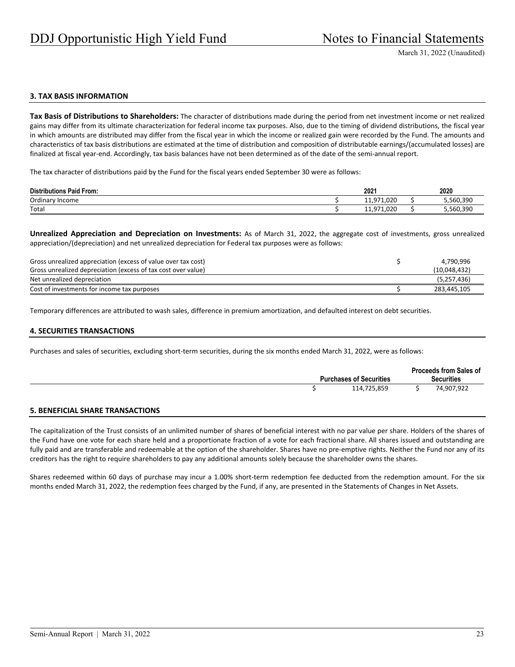#### **3. TAX BASIS INFORMATION**

**Tax Basis of Distributions to Shareholders:** The character of distributions made during the period from net investment income or net realized gains may differ from its ultimate characterization for federal income tax purposes. Also, due to the timing of dividend distributions, the fiscal year in which amounts are distributed may differ from the fiscal year in which the income or realized gain were recorded by the Fund. The amounts and characteristics of tax basis distributions are estimated at the time of distribution and composition of distributable earnings/(accumulated losses) are finalized at fiscal year-end. Accordingly, tax basis balances have not been determined as of the date of the semi-annual report.

The tax character of distributions paid by the Fund for the fiscal years ended September 30 were as follows:

| <b>Distributions Paid From:</b> | 2021                       | 2020      |
|---------------------------------|----------------------------|-----------|
| Ordinary<br>Income              | 11,971,020                 | 5,560,390 |
| Total                           | 71.020<br>.071<br>11<br>ᅩᅩ | 5,560,390 |

**Unrealized Appreciation and Depreciation on Investments:** As of March 31, 2022, the aggregate cost of investments, gross unrealized appreciation/(depreciation) and net unrealized depreciation for Federal tax purposes were as follows:

| Gross unrealized appreciation (excess of value over tax cost) | 4.790.996    |
|---------------------------------------------------------------|--------------|
| Gross unrealized depreciation (excess of tax cost over value) | (10,048,432) |
| Net unrealized depreciation                                   | (5,257,436)  |
| Cost of investments for income tax purposes                   | 283,445,105  |

Temporary differences are attributed to wash sales, difference in premium amortization, and defaulted interest on debt securities.

#### **4. SECURITIES TRANSACTIONS**

Purchases and sales of securities, excluding short-term securities, during the six months ended March 31, 2022, were as follows:

| <b>Purchases of Securities</b> | <b>Proceeds from Sales of</b><br><b>Securities</b> |
|--------------------------------|----------------------------------------------------|
| 114,725,859                    | 74,907,922                                         |

### **5. BENEFICIAL SHARE TRANSACTIONS**

The capitalization of the Trust consists of an unlimited number of shares of beneficial interest with no par value per share. Holders of the shares of the Fund have one vote for each share held and a proportionate fraction of a vote for each fractional share. All shares issued and outstanding are fully paid and are transferable and redeemable at the option of the shareholder. Shares have no pre-emptive rights. Neither the Fund nor any of its creditors has the right to require shareholders to pay any additional amounts solely because the shareholder owns the shares.

Shares redeemed within 60 days of purchase may incur a 1.00% short-term redemption fee deducted from the redemption amount. For the six months ended March 31, 2022, the redemption fees charged by the Fund, if any, are presented in the Statements of Changes in Net Assets.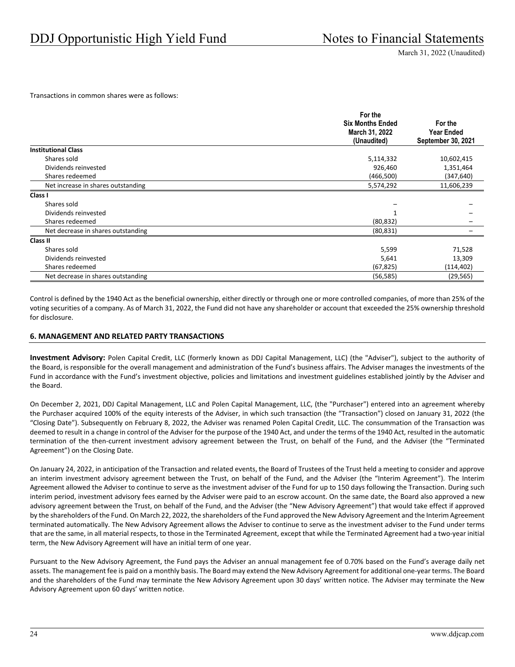Transactions in common shares were as follows:

|                                    | For the                 |                    |
|------------------------------------|-------------------------|--------------------|
|                                    | <b>Six Months Ended</b> | For the            |
|                                    | March 31, 2022          | <b>Year Ended</b>  |
|                                    | (Unaudited)             | September 30, 2021 |
| <b>Institutional Class</b>         |                         |                    |
| Shares sold                        | 5,114,332               | 10,602,415         |
| Dividends reinvested               | 926,460                 | 1,351,464          |
| Shares redeemed                    | (466,500)               | (347, 640)         |
| Net increase in shares outstanding | 5,574,292               | 11,606,239         |
| Class I                            |                         |                    |
| Shares sold                        |                         |                    |
| Dividends reinvested               |                         |                    |
| Shares redeemed                    | (80, 832)               |                    |
| Net decrease in shares outstanding | (80, 831)               |                    |
| Class II                           |                         |                    |
| Shares sold                        | 5,599                   | 71,528             |
| Dividends reinvested               | 5,641                   | 13,309             |
| Shares redeemed                    | (67, 825)               | (114, 402)         |
| Net decrease in shares outstanding | (56, 585)               | (29, 565)          |

Control is defined by the 1940 Act as the beneficial ownership, either directly or through one or more controlled companies, of more than 25% of the voting securities of a company. As of March 31, 2022, the Fund did not have any shareholder or account that exceeded the 25% ownership threshold for disclosure.

### **6. MANAGEMENT AND RELATED PARTY TRANSACTIONS**

**Investment Advisory:** Polen Capital Credit, LLC (formerly known as DDJ Capital Management, LLC) (the "Adviser"), subject to the authority of the Board, is responsible for the overall management and administration of the Fund's business affairs. The Adviser manages the investments of the Fund in accordance with the Fund's investment objective, policies and limitations and investment guidelines established jointly by the Adviser and the Board.

On December 2, 2021, DDJ Capital Management, LLC and Polen Capital Management, LLC, (the "Purchaser") entered into an agreement whereby the Purchaser acquired 100% of the equity interests of the Adviser, in which such transaction (the "Transaction") closed on January 31, 2022 (the "Closing Date"). Subsequently on February 8, 2022, the Adviser was renamed Polen Capital Credit, LLC. The consummation of the Transaction was deemed to result in a change in control of the Adviser for the purpose of the 1940 Act, and under the terms of the 1940 Act, resulted in the automatic termination of the then-current investment advisory agreement between the Trust, on behalf of the Fund, and the Adviser (the "Terminated Agreement") on the Closing Date.

On January 24, 2022, in anticipation of the Transaction and related events, the Board of Trustees of the Trust held a meeting to consider and approve an interim investment advisory agreement between the Trust, on behalf of the Fund, and the Adviser (the "Interim Agreement"). The Interim Agreement allowed the Adviser to continue to serve as the investment adviser of the Fund for up to 150 days following the Transaction. During such interim period, investment advisory fees earned by the Adviser were paid to an escrow account. On the same date, the Board also approved a new advisory agreement between the Trust, on behalf of the Fund, and the Adviser (the "New Advisory Agreement") that would take effect if approved by the shareholders of the Fund. On March 22, 2022, the shareholders of the Fund approved the New Advisory Agreement and the Interim Agreement terminated automatically. The New Advisory Agreement allows the Adviser to continue to serve as the investment adviser to the Fund under terms that are the same, in all material respects, to those in the Terminated Agreement, except that while the Terminated Agreement had a two‐year initial term, the New Advisory Agreement will have an initial term of one year.

Pursuant to the New Advisory Agreement, the Fund pays the Adviser an annual management fee of 0.70% based on the Fund's average daily net assets. The management fee is paid on a monthly basis. The Board may extend the New Advisory Agreement for additional one‐year terms. The Board and the shareholders of the Fund may terminate the New Advisory Agreement upon 30 days' written notice. The Adviser may terminate the New Advisory Agreement upon 60 days' written notice.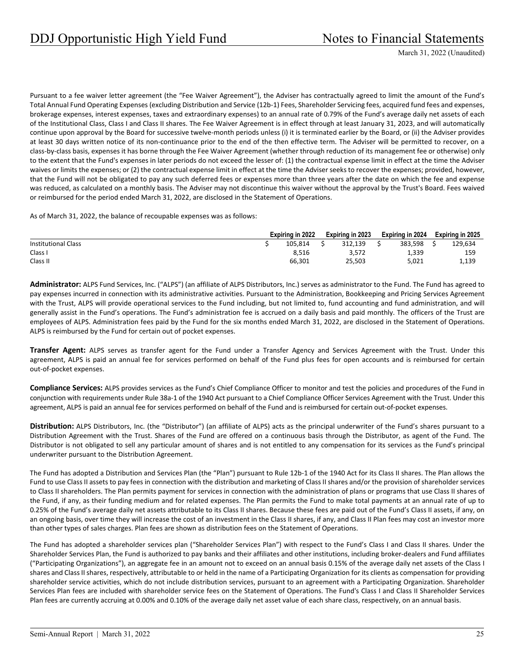Pursuant to a fee waiver letter agreement (the "Fee Waiver Agreement"), the Adviser has contractually agreed to limit the amount of the Fund's Total Annual Fund Operating Expenses (excluding Distribution and Service (12b‐1) Fees, Shareholder Servicing fees, acquired fund fees and expenses, brokerage expenses, interest expenses, taxes and extraordinary expenses) to an annual rate of 0.79% of the Fund's average daily net assets of each of the Institutional Class, Class I and Class II shares. The Fee Waiver Agreement is in effect through at least January 31, 2023, and will automatically continue upon approval by the Board for successive twelve-month periods unless (i) it is terminated earlier by the Board, or (ii) the Adviser provides at least 30 days written notice of its non‐continuance prior to the end of the then effective term. The Adviser will be permitted to recover, on a class‐by‐class basis, expenses it has borne through the Fee Waiver Agreement (whether through reduction of its management fee or otherwise) only to the extent that the Fund's expenses in later periods do not exceed the lesser of: (1) the contractual expense limit in effect at the time the Adviser waives or limits the expenses; or (2) the contractual expense limit in effect at the time the Adviser seeks to recover the expenses; provided, however, that the Fund will not be obligated to pay any such deferred fees or expenses more than three years after the date on which the fee and expense was reduced, as calculated on a monthly basis. The Adviser may not discontinue this waiver without the approval by the Trust's Board. Fees waived or reimbursed for the period ended March 31, 2022, are disclosed in the Statement of Operations.

As of March 31, 2022, the balance of recoupable expenses was as follows:

|                            | Expiring in 2022 |         | Expiring in 2023 |         | Expiring in 2024 |         | Expiring in 2025 |         |
|----------------------------|------------------|---------|------------------|---------|------------------|---------|------------------|---------|
| <b>Institutional Class</b> |                  | 105.814 |                  | 312.139 |                  | 383.598 |                  | 129,634 |
| Class I                    |                  | 8.516   |                  | 3.572   |                  | 1,339   |                  | 159     |
| Class II                   |                  | 66.301  |                  | 25.503  |                  | 5.021   |                  | 1,139   |

**Administrator:** ALPS Fund Services, Inc. ("ALPS") (an affiliate of ALPS Distributors, Inc.) serves as administrator to the Fund. The Fund has agreed to pay expenses incurred in connection with its administrative activities. Pursuant to the Administration, Bookkeeping and Pricing Services Agreement with the Trust, ALPS will provide operational services to the Fund including, but not limited to, fund accounting and fund administration, and will generally assist in the Fund's operations. The Fund's administration fee is accrued on a daily basis and paid monthly. The officers of the Trust are employees of ALPS. Administration fees paid by the Fund for the six months ended March 31, 2022, are disclosed in the Statement of Operations. ALPS is reimbursed by the Fund for certain out of pocket expenses.

**Transfer Agent:** ALPS serves as transfer agent for the Fund under a Transfer Agency and Services Agreement with the Trust. Under this agreement, ALPS is paid an annual fee for services performed on behalf of the Fund plus fees for open accounts and is reimbursed for certain out‐of‐pocket expenses.

**Compliance Services:** ALPS provides services as the Fund's Chief Compliance Officer to monitor and test the policies and procedures of the Fund in conjunction with requirements under Rule 38a‐1 of the 1940 Act pursuant to a Chief Compliance Officer Services Agreement with the Trust. Under this agreement, ALPS is paid an annual fee for services performed on behalf of the Fund and is reimbursed for certain out-of-pocket expenses.

**Distribution:** ALPS Distributors, Inc. (the "Distributor") (an affiliate of ALPS) acts as the principal underwriter of the Fund's shares pursuant to a Distribution Agreement with the Trust. Shares of the Fund are offered on a continuous basis through the Distributor, as agent of the Fund. The Distributor is not obligated to sell any particular amount of shares and is not entitled to any compensation for its services as the Fund's principal underwriter pursuant to the Distribution Agreement.

The Fund has adopted a Distribution and Services Plan (the "Plan") pursuant to Rule 12b‐1 of the 1940 Act for its Class II shares. The Plan allows the Fund to use Class II assets to pay fees in connection with the distribution and marketing of Class II shares and/or the provision of shareholder services to Class II shareholders. The Plan permits payment for services in connection with the administration of plans or programs that use Class II shares of the Fund, if any, as their funding medium and for related expenses. The Plan permits the Fund to make total payments at an annual rate of up to 0.25% of the Fund's average daily net assets attributable to its Class II shares. Because these fees are paid out of the Fund's Class II assets, if any, on an ongoing basis, over time they will increase the cost of an investment in the Class II shares, if any, and Class II Plan fees may cost an investor more than other types of sales charges. Plan fees are shown as distribution fees on the Statement of Operations.

The Fund has adopted a shareholder services plan ("Shareholder Services Plan") with respect to the Fund's Class I and Class II shares. Under the Shareholder Services Plan, the Fund is authorized to pay banks and their affiliates and other institutions, including broker‐dealers and Fund affiliates ("Participating Organizations"), an aggregate fee in an amount not to exceed on an annual basis 0.15% of the average daily net assets of the Class I shares and Class II shares, respectively, attributable to or held in the name of a Participating Organization for its clients as compensation for providing shareholder service activities, which do not include distribution services, pursuant to an agreement with a Participating Organization. Shareholder Services Plan fees are included with shareholder service fees on the Statement of Operations. The Fund's Class I and Class II Shareholder Services Plan fees are currently accruing at 0.00% and 0.10% of the average daily net asset value of each share class, respectively, on an annual basis.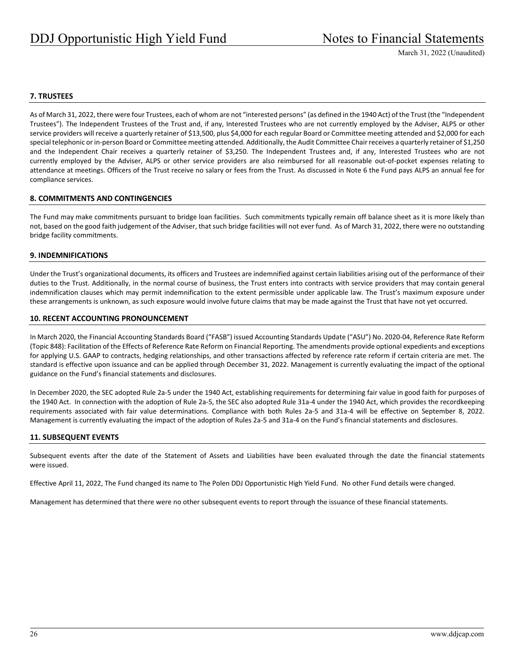### **7. TRUSTEES**

As of March 31, 2022, there were four Trustees, each of whom are not "interested persons" (as defined in the 1940 Act) of the Trust (the "Independent Trustees"). The Independent Trustees of the Trust and, if any, Interested Trustees who are not currently employed by the Adviser, ALPS or other service providers will receive a quarterly retainer of \$13,500, plus \$4,000 for each regular Board or Committee meeting attended and \$2,000 for each special telephonic or in-person Board or Committee meeting attended. Additionally, the Audit Committee Chair receives a quarterly retainer of \$1,250 and the Independent Chair receives a quarterly retainer of \$3,250. The Independent Trustees and, if any, Interested Trustees who are not currently employed by the Adviser, ALPS or other service providers are also reimbursed for all reasonable out‐of‐pocket expenses relating to attendance at meetings. Officers of the Trust receive no salary or fees from the Trust. As discussed in Note 6 the Fund pays ALPS an annual fee for compliance services.

#### **8. COMMITMENTS AND CONTINGENCIES**

The Fund may make commitments pursuant to bridge loan facilities. Such commitments typically remain off balance sheet as it is more likely than not, based on the good faith judgement of the Adviser, that such bridge facilities will not ever fund. As of March 31, 2022, there were no outstanding bridge facility commitments.

#### **9. INDEMNIFICATIONS**

Under the Trust's organizational documents, its officers and Trustees are indemnified against certain liabilities arising out of the performance of their duties to the Trust. Additionally, in the normal course of business, the Trust enters into contracts with service providers that may contain general indemnification clauses which may permit indemnification to the extent permissible under applicable law. The Trust's maximum exposure under these arrangements is unknown, as such exposure would involve future claims that may be made against the Trust that have not yet occurred.

#### **10. RECENT ACCOUNTING PRONOUNCEMENT**

In March 2020, the Financial Accounting Standards Board ("FASB") issued Accounting Standards Update ("ASU") No. 2020‐04, Reference Rate Reform (Topic 848): Facilitation of the Effects of Reference Rate Reform on Financial Reporting. The amendments provide optional expedients and exceptions for applying U.S. GAAP to contracts, hedging relationships, and other transactions affected by reference rate reform if certain criteria are met. The standard is effective upon issuance and can be applied through December 31, 2022. Management is currently evaluating the impact of the optional guidance on the Fund's financial statements and disclosures.

In December 2020, the SEC adopted Rule 2a‐5 under the 1940 Act, establishing requirements for determining fair value in good faith for purposes of the 1940 Act. In connection with the adoption of Rule 2a-5, the SEC also adopted Rule 31a-4 under the 1940 Act, which provides the recordkeeping requirements associated with fair value determinations. Compliance with both Rules 2a‐5 and 31a‐4 will be effective on September 8, 2022. Management is currently evaluating the impact of the adoption of Rules 2a‐5 and 31a‐4 on the Fund's financial statements and disclosures.

#### **11. SUBSEQUENT EVENTS**

Subsequent events after the date of the Statement of Assets and Liabilities have been evaluated through the date the financial statements were issued.

Effective April 11, 2022, The Fund changed its name to The Polen DDJ Opportunistic High Yield Fund. No other Fund details were changed.

Management has determined that there were no other subsequent events to report through the issuance of these financial statements.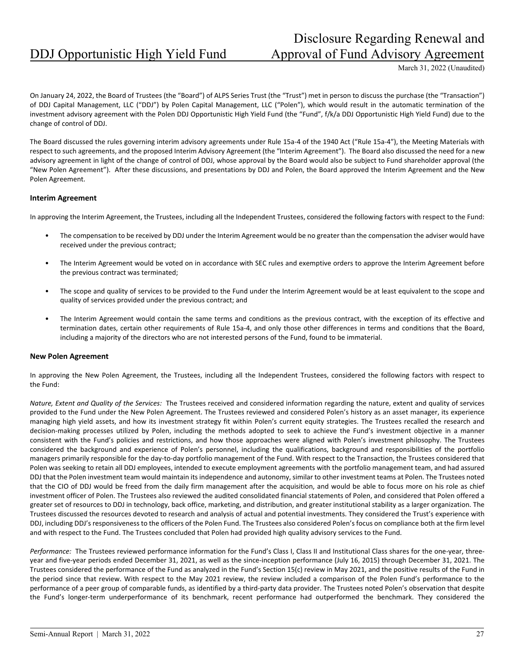## Disclosure Regarding Renewal and DDJ Opportunistic High Yield Fund Approval of Fund Advisory Agreement

March 31, 2022 (Unaudited)

On January 24, 2022, the Board of Trustees (the "Board") of ALPS Series Trust (the "Trust") met in person to discuss the purchase (the "Transaction") of DDJ Capital Management, LLC ("DDJ") by Polen Capital Management, LLC ("Polen"), which would result in the automatic termination of the investment advisory agreement with the Polen DDJ Opportunistic High Yield Fund (the "Fund", f/k/a DDJ Opportunistic High Yield Fund) due to the change of control of DDJ.

The Board discussed the rules governing interim advisory agreements under Rule 15a-4 of the 1940 Act ("Rule 15a-4"), the Meeting Materials with respect to such agreements, and the proposed Interim Advisory Agreement (the "Interim Agreement"). The Board also discussed the need for a new advisory agreement in light of the change of control of DDJ, whose approval by the Board would also be subject to Fund shareholder approval (the "New Polen Agreement"). After these discussions, and presentations by DDJ and Polen, the Board approved the Interim Agreement and the New Polen Agreement.

#### **Interim Agreement**

In approving the Interim Agreement, the Trustees, including all the Independent Trustees, considered the following factors with respect to the Fund:

- The compensation to be received by DDJ under the Interim Agreement would be no greater than the compensation the adviser would have received under the previous contract;
- The Interim Agreement would be voted on in accordance with SEC rules and exemptive orders to approve the Interim Agreement before the previous contract was terminated;
- The scope and quality of services to be provided to the Fund under the Interim Agreement would be at least equivalent to the scope and quality of services provided under the previous contract; and
- The Interim Agreement would contain the same terms and conditions as the previous contract, with the exception of its effective and termination dates, certain other requirements of Rule 15a-4, and only those other differences in terms and conditions that the Board, including a majority of the directors who are not interested persons of the Fund, found to be immaterial.

#### **New Polen Agreement**

In approving the New Polen Agreement, the Trustees, including all the Independent Trustees, considered the following factors with respect to the Fund:

*Nature, Extent and Quality of the Services:* The Trustees received and considered information regarding the nature, extent and quality of services provided to the Fund under the New Polen Agreement. The Trustees reviewed and considered Polen's history as an asset manager, its experience managing high yield assets, and how its investment strategy fit within Polen's current equity strategies. The Trustees recalled the research and decision-making processes utilized by Polen, including the methods adopted to seek to achieve the Fund's investment objective in a manner consistent with the Fund's policies and restrictions, and how those approaches were aligned with Polen's investment philosophy. The Trustees considered the background and experience of Polen's personnel, including the qualifications, background and responsibilities of the portfolio managers primarily responsible for the day-to-day portfolio management of the Fund. With respect to the Transaction, the Trustees considered that Polen was seeking to retain all DDJ employees, intended to execute employment agreements with the portfolio management team, and had assured DDJ that the Polen investment team would maintain its independence and autonomy, similar to other investment teams at Polen. The Trustees noted that the CIO of DDJ would be freed from the daily firm management after the acquisition, and would be able to focus more on his role as chief investment officer of Polen. The Trustees also reviewed the audited consolidated financial statements of Polen, and considered that Polen offered a greater set of resources to DDJ in technology, back office, marketing, and distribution, and greater institutional stability as a larger organization. The Trustees discussed the resources devoted to research and analysis of actual and potential investments. They considered the Trust's experience with DDJ, including DDJ's responsiveness to the officers of the Polen Fund. The Trustees also considered Polen's focus on compliance both at the firm level and with respect to the Fund. The Trustees concluded that Polen had provided high quality advisory services to the Fund.

*Performance:* The Trustees reviewed performance information for the Fund's Class I, Class II and Institutional Class shares for the one-year, threeyear and five-year periods ended December 31, 2021, as well as the since-inception performance (July 16, 2015) through December 31, 2021. The Trustees considered the performance of the Fund as analyzed in the Fund's Section 15(c) review in May 2021, and the positive results of the Fund in the period since that review. With respect to the May 2021 review, the review included a comparison of the Polen Fund's performance to the performance of a peer group of comparable funds, as identified by a third-party data provider. The Trustees noted Polen's observation that despite the Fund's longer-term underperformance of its benchmark, recent performance had outperformed the benchmark. They considered the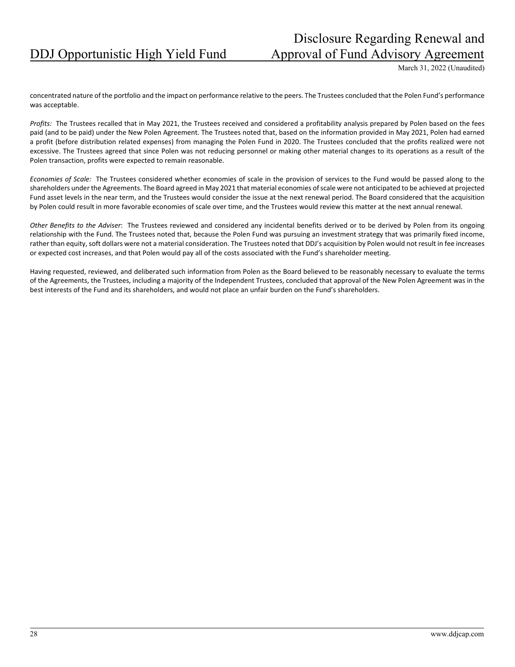## Disclosure Regarding Renewal and DDJ Opportunistic High Yield Fund Approval of Fund Advisory Agreement

March 31, 2022 (Unaudited)

concentrated nature of the portfolio and the impact on performance relative to the peers. The Trustees concluded that the Polen Fund's performance was acceptable.

*Profits:* The Trustees recalled that in May 2021, the Trustees received and considered a profitability analysis prepared by Polen based on the fees paid (and to be paid) under the New Polen Agreement. The Trustees noted that, based on the information provided in May 2021, Polen had earned a profit (before distribution related expenses) from managing the Polen Fund in 2020. The Trustees concluded that the profits realized were not excessive. The Trustees agreed that since Polen was not reducing personnel or making other material changes to its operations as a result of the Polen transaction, profits were expected to remain reasonable.

*Economies of Scale:* The Trustees considered whether economies of scale in the provision of services to the Fund would be passed along to the shareholders under the Agreements. The Board agreed in May 2021 that material economies ofscale were not anticipated to be achieved at projected Fund asset levels in the near term, and the Trustees would consider the issue at the next renewal period. The Board considered that the acquisition by Polen could result in more favorable economies of scale over time, and the Trustees would review this matter at the next annual renewal.

*Other Benefits to the Adviser*: The Trustees reviewed and considered any incidental benefits derived or to be derived by Polen from its ongoing relationship with the Fund. The Trustees noted that, because the Polen Fund was pursuing an investment strategy that was primarily fixed income, rather than equity, soft dollars were not a material consideration. The Trustees noted that DDJ's acquisition by Polen would not result in fee increases or expected cost increases, and that Polen would pay all of the costs associated with the Fund's shareholder meeting.

Having requested, reviewed, and deliberated such information from Polen as the Board believed to be reasonably necessary to evaluate the terms of the Agreements, the Trustees, including a majority of the Independent Trustees, concluded that approval of the New Polen Agreement was in the best interests of the Fund and its shareholders, and would not place an unfair burden on the Fund's shareholders.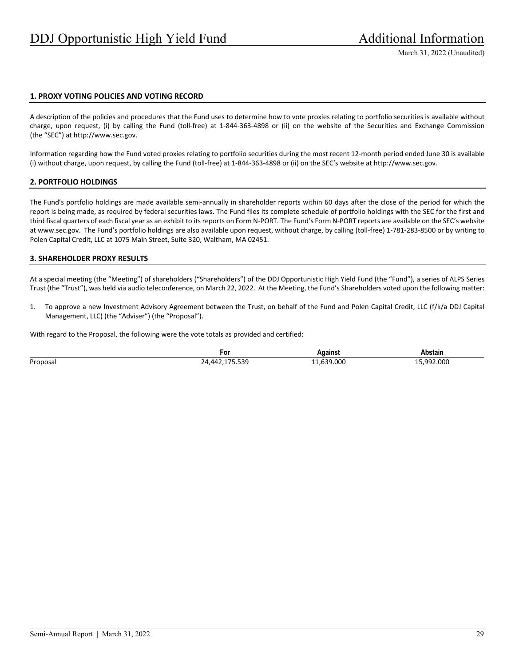#### **1. PROXY VOTING POLICIES AND VOTING RECORD**

A description of the policies and procedures that the Fund uses to determine how to vote proxies relating to portfolio securities is available without charge, upon request, (i) by calling the Fund (toll‐free) at 1‐844‐363‐4898 or (ii) on the website of the Securities and Exchange Commission (the "SEC") at http://www.sec.gov.

Information regarding how the Fund voted proxies relating to portfolio securities during the most recent 12‐month period ended June 30 is available (i) without charge, upon request, by calling the Fund (toll‐free) at 1‐844‐363‐4898 or (ii) on the SEC's website at http://www.sec.gov.

#### **2. PORTFOLIO HOLDINGS**

The Fund's portfolio holdings are made available semi-annually in shareholder reports within 60 days after the close of the period for which the report is being made, as required by federal securities laws. The Fund files its complete schedule of portfolio holdings with the SEC for the first and third fiscal quarters of each fiscal year as an exhibit to its reports on Form N-PORT. The Fund's Form N-PORT reports are available on the SEC's website at www.sec.gov. The Fund's portfolio holdings are also available upon request, without charge, by calling (toll‐free) 1‐781‐283‐8500 or by writing to Polen Capital Credit, LLC at 1075 Main Street, Suite 320, Waltham, MA 02451.

#### **3. SHAREHOLDER PROXY RESULTS**

At a special meeting (the "Meeting") of shareholders ("Shareholders") of the DDJ Opportunistic High Yield Fund (the "Fund"), a series of ALPS Series Trust (the "Trust"), was held via audio teleconference, on March 22, 2022. At the Meeting, the Fund's Shareholders voted upon the following matter:

1. To approve a new Investment Advisory Agreement between the Trust, on behalf of the Fund and Polen Capital Credit, LLC (f/k/a DDJ Capital Management, LLC) (the "Adviser") (the "Proposal").

With regard to the Proposal, the following were the vote totals as provided and certified:

|          | ۲or                       | aaıns              | Abstain                  |
|----------|---------------------------|--------------------|--------------------------|
| Proposal | r 20<br>.<br>つん<br>,,,,,, | .000<br>. <i>.</i> | .992.000<br>------<br>__ |